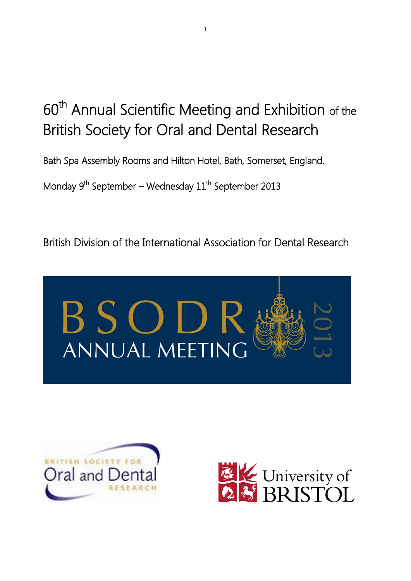# 60<sup>th</sup> Annual Scientific Meeting and Exhibition of the British Society for Oral and Dental Research

Bath Spa Assembly Rooms and Hilton Hotel, Bath, Somerset, England.

Monday 9<sup>th</sup> September – Wednesday 11<sup>th</sup> September 2013

British Division of the International Association for Dental Research





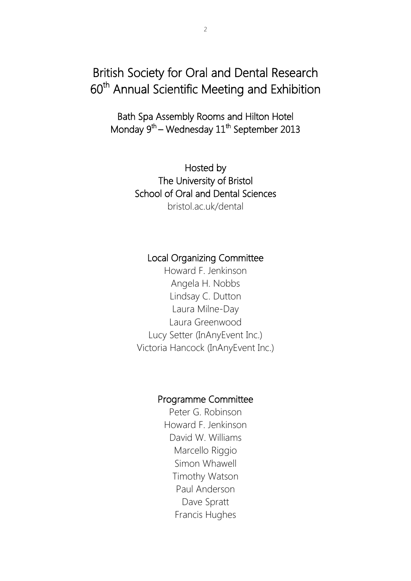## British Society for Oral and Dental Research 60<sup>th</sup> Annual Scientific Meeting and Exhibition

Bath Spa Assembly Rooms and Hilton Hotel Monday 9<sup>th</sup> – Wednesday 11<sup>th</sup> September 2013

> Hosted by The University of Bristol School of Oral and Dental Sciences bristol.ac.uk/dental

### Local Organizing Committee

Howard F. Jenkinson Angela H. Nobbs Lindsay C. Dutton Laura Milne-Day Laura Greenwood Lucy Setter (InAnyEvent Inc.) Victoria Hancock (InAnyEvent Inc.)

### Programme Committee

Peter G. Robinson Howard F. Jenkinson David W. Williams Marcello Riggio Simon Whawell Timothy Watson Paul Anderson Dave Spratt Francis Hughes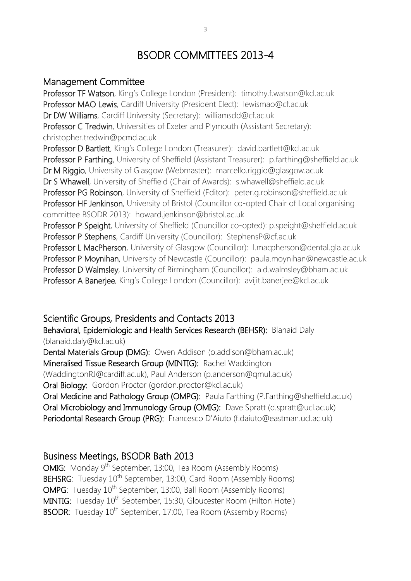## BSODR COMMITTEES 2013-4

### Management Committee

Professor TF Watson, King's College London (President): timothy.f.watson@kcl.ac.uk Professor MAO Lewis, Cardiff University (President Elect): lewismao@cf.ac.uk Dr DW Williams, Cardiff University (Secretary): williamsdd@cf.ac.uk Professor C Tredwin, Universities of Exeter and Plymouth (Assistant Secretary): christopher.tredwin@pcmd.ac.uk Professor D Bartlett, King's College London (Treasurer): david.bartlett@kcl.ac.uk Professor P Farthing, University of Sheffield (Assistant Treasurer): p.farthing@sheffield.ac.uk Dr M Riggio, University of Glasgow (Webmaster): marcello.riggio@glasgow.ac.uk Dr S Whawell, University of Sheffield (Chair of Awards): s.whawell@sheffield.ac.uk Professor PG Robinson, University of Sheffield (Editor): peter.g.robinson@sheffield.ac.uk Professor HF Jenkinson, University of Bristol (Councillor co-opted Chair of Local organising committee BSODR 2013): howard.jenkinson@bristol.ac.uk Professor P Speight, University of Sheffield (Councillor co-opted): p.speight@sheffield.ac.uk Professor P Stephens, Cardiff University (Councillor): StephensP@cf.ac.uk Professor L MacPherson, University of Glasgow (Councillor): I.macpherson@dental.gla.ac.uk Professor P Moynihan, University of Newcastle (Councillor): paula.moynihan@newcastle.ac.uk Professor D Walmsley, University of Birmingham (Councillor): a.d.walmsley@bham.ac.uk Professor A Banerjee, King's College London (Councillor): avijit.banerjee@kcl.ac.uk

### Scientific Groups, Presidents and Contacts 2013

Behavioral, Epidemiologic and Health Services Research (BEHSR): Blanaid Daly (blanaid.daly@kcl.ac.uk)

Dental Materials Group (DMG): Owen Addison (o.addison@bham.ac.uk) Mineralised Tissue Research Group (MINTIG): Rachel Waddington (WaddingtonRJ@cardiff.ac.uk), Paul Anderson (p.anderson@qmul.ac.uk)

Oral Biology: Gordon Proctor (gordon.proctor@kcl.ac.uk)

Oral Medicine and Pathology Group (OMPG): Paula Farthing (P.Farthing@sheffield.ac.uk) Oral Microbiology and Immunology Group (OMIG): Dave Spratt (d.spratt@ucl.ac.uk) Periodontal Research Group (PRG): Francesco D'Aiuto (f.daiuto@eastman.ucl.ac.uk)

### Business Meetings, BSODR Bath 2013

OMIG: Monday 9<sup>th</sup> September, 13:00, Tea Room (Assembly Rooms) BEHSRG: Tuesday 10<sup>th</sup> September, 13:00, Card Room (Assembly Rooms) OMPG: Tuesday 10<sup>th</sup> September, 13:00, Ball Room (Assembly Rooms) MINTIG: Tuesday 10<sup>th</sup> September, 15:30, Gloucester Room (Hilton Hotel) BSODR: Tuesday 10<sup>th</sup> September, 17:00, Tea Room (Assembly Rooms)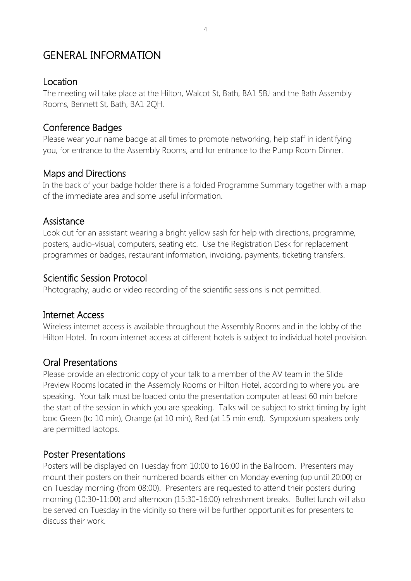## GENERAL INFORMATION

### Location

The meeting will take place at the Hilton, Walcot St, Bath, BA1 5BJ and the Bath Assembly Rooms, Bennett St, Bath, BA1 2QH.

### Conference Badges

Please wear your name badge at all times to promote networking, help staff in identifying you, for entrance to the Assembly Rooms, and for entrance to the Pump Room Dinner.

### Maps and Directions

In the back of your badge holder there is a folded Programme Summary together with a map of the immediate area and some useful information.

### Assistance

Look out for an assistant wearing a bright yellow sash for help with directions, programme, posters, audio-visual, computers, seating etc. Use the Registration Desk for replacement programmes or badges, restaurant information, invoicing, payments, ticketing transfers.

### Scientific Session Protocol

Photography, audio or video recording of the scientific sessions is not permitted.

### Internet Access

Wireless internet access is available throughout the Assembly Rooms and in the lobby of the Hilton Hotel. In room internet access at different hotels is subject to individual hotel provision.

### Oral Presentations

Please provide an electronic copy of your talk to a member of the AV team in the Slide Preview Rooms located in the Assembly Rooms or Hilton Hotel, according to where you are speaking. Your talk must be loaded onto the presentation computer at least 60 min before the start of the session in which you are speaking. Talks will be subject to strict timing by light box: Green (to 10 min), Orange (at 10 min), Red (at 15 min end). Symposium speakers only are permitted laptops.

### Poster Presentations

Posters will be displayed on Tuesday from 10:00 to 16:00 in the Ballroom. Presenters may mount their posters on their numbered boards either on Monday evening (up until 20:00) or on Tuesday morning (from 08:00). Presenters are requested to attend their posters during morning (10:30-11:00) and afternoon (15:30-16:00) refreshment breaks. Buffet lunch will also be served on Tuesday in the vicinity so there will be further opportunities for presenters to discuss their work.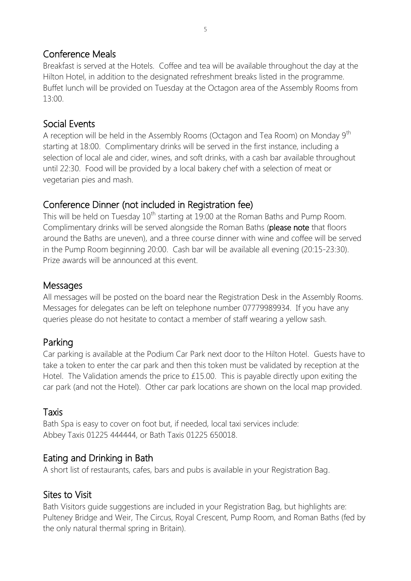### Conference Meals

Breakfast is served at the Hotels. Coffee and tea will be available throughout the day at the Hilton Hotel, in addition to the designated refreshment breaks listed in the programme. Buffet lunch will be provided on Tuesday at the Octagon area of the Assembly Rooms from 13:00.

### Social Events

A reception will be held in the Assembly Rooms (Octagon and Tea Room) on Monday 9<sup>th</sup> starting at 18:00. Complimentary drinks will be served in the first instance, including a selection of local ale and cider, wines, and soft drinks, with a cash bar available throughout until 22:30. Food will be provided by a local bakery chef with a selection of meat or vegetarian pies and mash.

### Conference Dinner (not included in Registration fee)

This will be held on Tuesday  $10<sup>th</sup>$  starting at 19:00 at the Roman Baths and Pump Room. Complimentary drinks will be served alongside the Roman Baths (please note that floors around the Baths are uneven), and a three course dinner with wine and coffee will be served in the Pump Room beginning 20:00. Cash bar will be available all evening (20:15-23:30). Prize awards will be announced at this event.

### **Messages**

All messages will be posted on the board near the Registration Desk in the Assembly Rooms. Messages for delegates can be left on telephone number 07779989934. If you have any queries please do not hesitate to contact a member of staff wearing a yellow sash.

### Parking

Car parking is available at the Podium Car Park next door to the Hilton Hotel. Guests have to take a token to enter the car park and then this token must be validated by reception at the Hotel. The Validation amends the price to £15.00. This is payable directly upon exiting the car park (and not the Hotel). Other car park locations are shown on the local map provided.

### Taxis

Bath Spa is easy to cover on foot but, if needed, local taxi services include: Abbey Taxis 01225 444444, or Bath Taxis 01225 650018.

### Eating and Drinking in Bath

A short list of restaurants, cafes, bars and pubs is available in your Registration Bag.

### Sites to Visit

Bath Visitors guide suggestions are included in your Registration Bag, but highlights are: Pulteney Bridge and Weir, The Circus, Royal Crescent, Pump Room, and Roman Baths (fed by the only natural thermal spring in Britain).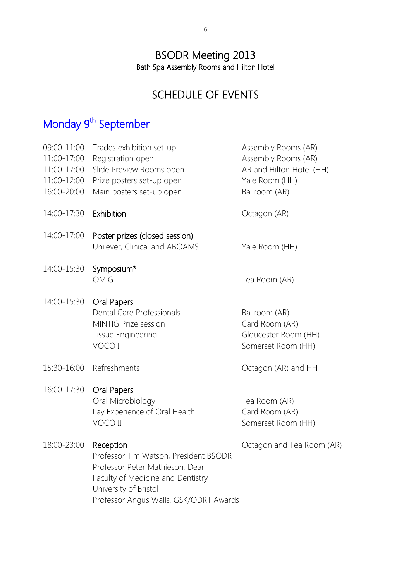### BSODR Meeting 2013 Bath Spa Assembly Rooms and Hilton Hotel

## SCHEDULE OF EVENTS

## Monday 9<sup>th</sup> September

| 09:00-11:00<br>11:00-17:00<br>11:00-17:00<br>11:00-12:00<br>16:00-20:00 | Trades exhibition set-up<br>Registration open<br>Slide Preview Rooms open<br>Prize posters set-up open<br>Main posters set-up open                                                            | Assembly Rooms (AR)<br>Assembly Rooms (AR)<br>AR and Hilton Hotel (HH)<br>Yale Room (HH)<br>Ballroom (AR) |
|-------------------------------------------------------------------------|-----------------------------------------------------------------------------------------------------------------------------------------------------------------------------------------------|-----------------------------------------------------------------------------------------------------------|
| 14:00-17:30                                                             | Exhibition                                                                                                                                                                                    | Octagon (AR)                                                                                              |
| 14:00-17:00                                                             | Poster prizes (closed session)<br>Unilever, Clinical and ABOAMS                                                                                                                               | Yale Room (HH)                                                                                            |
| 14:00-15:30                                                             | Symposium*<br>OMIG                                                                                                                                                                            | Tea Room (AR)                                                                                             |
| 14:00-15:30                                                             | Oral Papers<br>Dental Care Professionals<br><b>MINTIG Prize session</b><br>Tissue Engineering<br>VOCO I                                                                                       | Ballroom (AR)<br>Card Room (AR)<br>Gloucester Room (HH)<br>Somerset Room (HH)                             |
| 15:30-16:00                                                             | Refreshments                                                                                                                                                                                  | Octagon (AR) and HH                                                                                       |
| 16:00-17:30                                                             | Oral Papers<br>Oral Microbiology<br>Lay Experience of Oral Health<br>VOCO II                                                                                                                  | Tea Room (AR)<br>Card Room (AR)<br>Somerset Room (HH)                                                     |
| 18:00-23:00                                                             | Reception<br>Professor Tim Watson, President BSODR<br>Professor Peter Mathieson, Dean<br>Faculty of Medicine and Dentistry<br>University of Bristol<br>Professor Angus Walls, GSK/ODRT Awards | Octagon and Tea Room (AR)                                                                                 |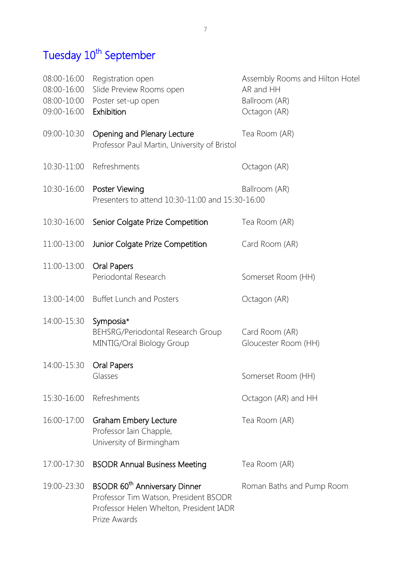## Tuesday 10<sup>th</sup> September

| 08:00-16:00<br>08:00-16:00<br>08:00-10:00<br>09:00-16:00 | Registration open<br>Slide Preview Rooms open<br>Poster set-up open<br>Exhibition                                                             | Assembly Rooms and Hilton Hotel<br>AR and HH<br>Ballroom (AR)<br>Octagon (AR) |
|----------------------------------------------------------|-----------------------------------------------------------------------------------------------------------------------------------------------|-------------------------------------------------------------------------------|
| 09:00-10:30                                              | Opening and Plenary Lecture<br>Professor Paul Martin, University of Bristol                                                                   | Tea Room (AR)                                                                 |
| 10:30-11:00                                              | Refreshments                                                                                                                                  | Octagon (AR)                                                                  |
| 10:30-16:00                                              | <b>Poster Viewing</b><br>Presenters to attend 10:30-11:00 and 15:30-16:00                                                                     | Ballroom (AR)                                                                 |
|                                                          | 10:30-16:00 Senior Colgate Prize Competition                                                                                                  | Tea Room (AR)                                                                 |
| 11:00-13:00                                              | Junior Colgate Prize Competition                                                                                                              | Card Room (AR)                                                                |
| 11:00-13:00                                              | <b>Oral Papers</b><br>Periodontal Research                                                                                                    | Somerset Room (HH)                                                            |
| 13:00-14:00                                              | <b>Buffet Lunch and Posters</b>                                                                                                               | Octagon (AR)                                                                  |
| 14:00-15:30                                              | Symposia*<br>BEHSRG/Periodontal Research Group<br>MINTIG/Oral Biology Group                                                                   | Card Room (AR)<br>Gloucester Room (HH)                                        |
| 14:00-15:30                                              | Oral Papers<br>Glasses                                                                                                                        | Somerset Room (HH)                                                            |
|                                                          | 15:30-16:00 Refreshments                                                                                                                      | Octagon (AR) and HH                                                           |
| 16:00-17:00                                              | <b>Graham Embery Lecture</b><br>Professor Iain Chapple,<br>University of Birmingham                                                           | Tea Room (AR)                                                                 |
| 17:00-17:30                                              | <b>BSODR Annual Business Meeting</b>                                                                                                          | Tea Room (AR)                                                                 |
| 19:00-23:30                                              | BSODR 60 <sup>th</sup> Anniversary Dinner<br>Professor Tim Watson, President BSODR<br>Professor Helen Whelton, President IADR<br>Prize Awards | Roman Baths and Pump Room                                                     |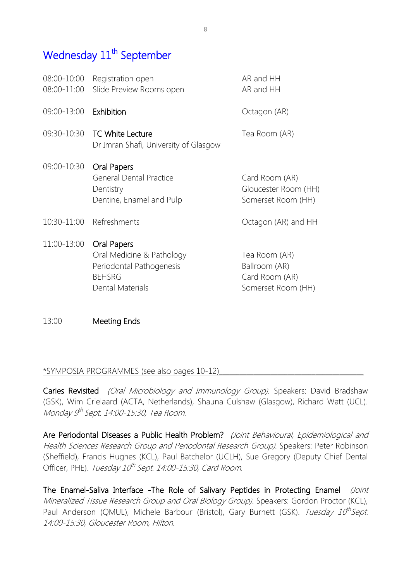## Wednesday 11<sup>th</sup> September

| 08:00-10:00<br>08:00-11:00 | Registration open<br>Slide Preview Rooms open                                                             | AR and HH<br>AR and HH                                                 |
|----------------------------|-----------------------------------------------------------------------------------------------------------|------------------------------------------------------------------------|
| 09:00-13:00                | Exhibition                                                                                                | Octagon (AR)                                                           |
| 09:30-10:30                | <b>TC White Lecture</b><br>Dr Imran Shafi, University of Glasgow                                          | Tea Room (AR)                                                          |
| 09:00-10:30                | Oral Papers<br><b>General Dental Practice</b><br>Dentistry<br>Dentine, Enamel and Pulp                    | Card Room (AR)<br>Gloucester Room (HH)<br>Somerset Room (HH)           |
|                            | 10:30-11:00 Refreshments                                                                                  | Octagon (AR) and HH                                                    |
| 11:00-13:00                | Oral Papers<br>Oral Medicine & Pathology<br>Periodontal Pathogenesis<br><b>BEHSRG</b><br>Dental Materials | Tea Room (AR)<br>Ballroom (AR)<br>Card Room (AR)<br>Somerset Room (HH) |
|                            |                                                                                                           |                                                                        |

13:00 Meeting Ends

### \*SYMPOSIA PROGRAMMES (see also pages 10-12)\_\_\_\_\_\_\_\_\_\_\_\_\_\_\_\_\_\_\_\_\_\_\_\_\_\_\_\_\_\_\_\_\_\_\_\_\_\_\_\_\_\_

Caries Revisited (Oral Microbiology and Immunology Group). Speakers: David Bradshaw (GSK), Wim Crielaard (ACTA, Netherlands), Shauna Culshaw (Glasgow), Richard Watt (UCL). Monday 9<sup>th</sup> Sept. 14:00-15:30, Tea Room.

Are Periodontal Diseases a Public Health Problem? (Joint Behavioural, Epidemiological and Health Sciences Research Group and Periodontal Research Group). Speakers: Peter Robinson (Sheffield), Francis Hughes (KCL), Paul Batchelor (UCLH), Sue Gregory (Deputy Chief Dental Officer, PHE). *Tuesday 10<sup>th</sup> Sept. 14:00-15:30, Card Room.* 

The Enamel-Saliva Interface -The Role of Salivary Peptides in Protecting Enamel (Joint Mineralized Tissue Research Group and Oral Biology Group). Speakers: Gordon Proctor (KCL), Paul Anderson (QMUL), Michele Barbour (Bristol), Gary Burnett (GSK). Tuesday 10<sup>th</sup>Sept. 14:00-15:30, Gloucester Room, Hilton.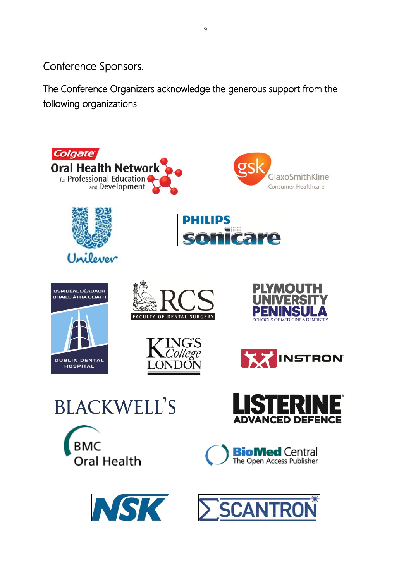Conference Sponsors.

The Conference Organizers acknowledge the generous support from the following organizations

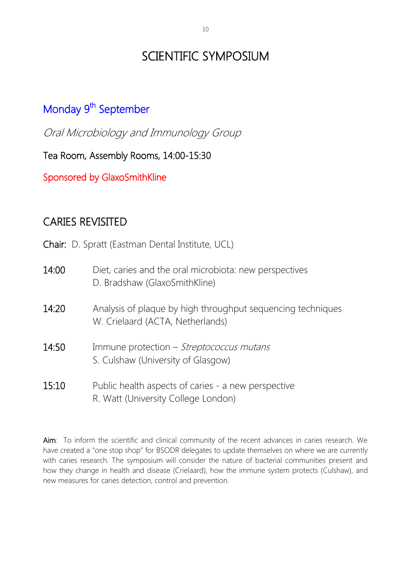## SCIENTIFIC SYMPOSIUM

## Monday 9<sup>th</sup> September

Oral Microbiology and Immunology Group

Tea Room, Assembly Rooms, 14:00-15:30

Sponsored by GlaxoSmithKline

## CARIES REVISITED

Chair: D. Spratt (Eastman Dental Institute, UCL)

| 14:00 | Diet, caries and the oral microbiota: new perspectives<br>D. Bradshaw (GlaxoSmithKline)         |
|-------|-------------------------------------------------------------------------------------------------|
| 14:20 | Analysis of plaque by high throughput sequencing techniques<br>W. Crielaard (ACTA, Netherlands) |
| 14:50 | Immune protection – Streptococcus mutans<br>S. Culshaw (University of Glasgow)                  |
| 15:10 | Public health aspects of caries - a new perspective<br>R. Watt (University College London)      |

Aim: To inform the scientific and clinical community of the recent advances in caries research. We have created a "one stop shop" for BSODR delegates to update themselves on where we are currently with caries research. The symposium will consider the nature of bacterial communities present and how they change in health and disease (Crielaard), how the immune system protects (Culshaw), and new measures for caries detection, control and prevention.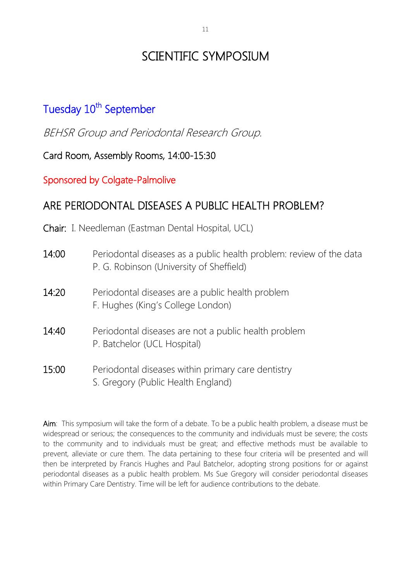## SCIENTIFIC SYMPOSIUM

## Tuesday 10<sup>th</sup> September

BEHSR Group and Periodontal Research Group.

Card Room, Assembly Rooms, 14:00-15:30

Sponsored by Colgate-Palmolive

## ARE PERIODONTAL DISEASES A PUBLIC HEALTH PROBLEM?

Chair: I. Needleman (Eastman Dental Hospital, UCL)

| 14:00 | Periodontal diseases as a public health problem: review of the data<br>P. G. Robinson (University of Sheffield) |
|-------|-----------------------------------------------------------------------------------------------------------------|
| 14:20 | Periodontal diseases are a public health problem<br>F. Hughes (King's College London)                           |
| 14:40 | Periodontal diseases are not a public health problem<br>P. Batchelor (UCL Hospital)                             |
| 15:00 | Periodontal diseases within primary care dentistry<br>S. Gregory (Public Health England)                        |

Aim: This symposium will take the form of a debate. To be a public health problem, a disease must be widespread or serious; the consequences to the community and individuals must be severe; the costs to the community and to individuals must be great; and effective methods must be available to prevent, alleviate or cure them. The data pertaining to these four criteria will be presented and will then be interpreted by Francis Hughes and Paul Batchelor, adopting strong positions for or against periodontal diseases as a public health problem. Ms Sue Gregory will consider periodontal diseases within Primary Care Dentistry. Time will be left for audience contributions to the debate.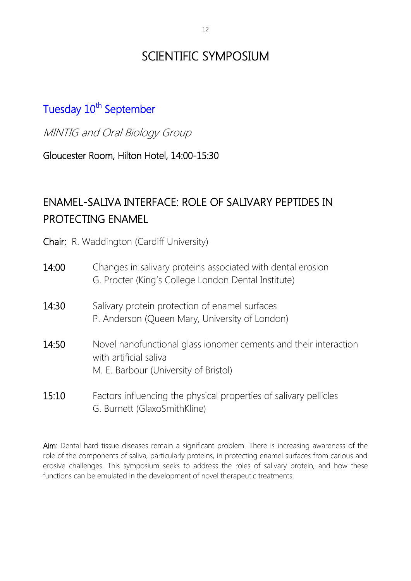## SCIENTIFIC SYMPOSIUM

## Tuesday 10<sup>th</sup> September

MINTIG and Oral Biology Group

Gloucester Room, Hilton Hotel, 14:00-15:30

## ENAMEL-SALIVA INTERFACE: ROLE OF SALIVARY PEPTIDES IN PROTECTING ENAMEL

Chair: R. Waddington (Cardiff University)

| 14:00 | Changes in salivary proteins associated with dental erosion<br>G. Procter (King's College London Dental Institute)                  |
|-------|-------------------------------------------------------------------------------------------------------------------------------------|
| 14:30 | Salivary protein protection of enamel surfaces<br>P. Anderson (Queen Mary, University of London)                                    |
| 14:50 | Novel nanofunctional glass ionomer cements and their interaction<br>with artificial saliva<br>M. E. Barbour (University of Bristol) |
| 15:10 | Factors influencing the physical properties of salivary pellicles<br>G. Burnett (GlaxoSmithKline)                                   |

Aim: Dental hard tissue diseases remain a significant problem. There is increasing awareness of the role of the components of saliva, particularly proteins, in protecting enamel surfaces from carious and erosive challenges. This symposium seeks to address the roles of salivary protein, and how these functions can be emulated in the development of novel therapeutic treatments.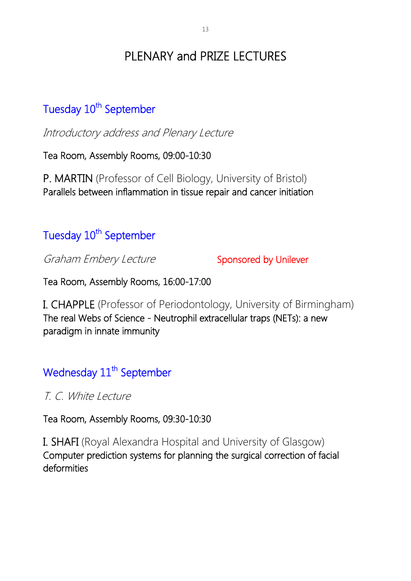## PLENARY and PRIZE LECTURES

## Tuesday 10<sup>th</sup> September

Introductory address and Plenary Lecture

Tea Room, Assembly Rooms, 09:00-10:30

P. MARTIN (Professor of Cell Biology, University of Bristol) Parallels between inflammation in tissue repair and cancer initiation

## Tuesday 10<sup>th</sup> September

Graham Embery Lecture Sponsored by Unilever

Tea Room, Assembly Rooms, 16:00-17:00

I. CHAPPLE (Professor of Periodontology, University of Birmingham) The real Webs of Science - Neutrophil extracellular traps (NETs): a new paradigm in innate immunity

## Wednesday 11<sup>th</sup> September

T. C. White Lecture

Tea Room, Assembly Rooms, 09:30-10:30

I. SHAFI (Royal Alexandra Hospital and University of Glasgow) Computer prediction systems for planning the surgical correction of facial deformities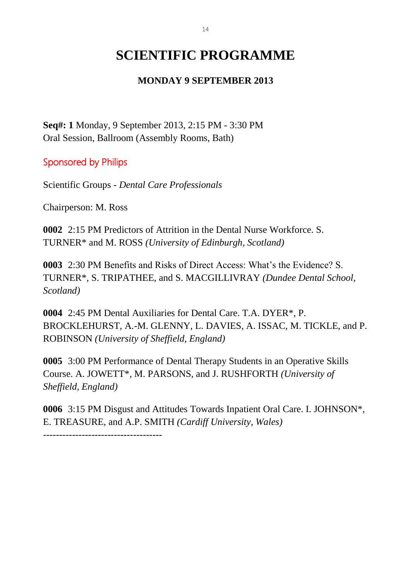## **SCIENTIFIC PROGRAMME**

### **MONDAY 9 SEPTEMBER 2013**

**Seq#: 1** Monday, 9 September 2013, 2:15 PM - 3:30 PM Oral Session, Ballroom (Assembly Rooms, Bath)

Sponsored by Philips

Scientific Groups - *Dental Care Professionals*

Chairperson: M. Ross

**0002** 2:15 PM Predictors of Attrition in the Dental Nurse Workforce. S. TURNER\* and M. ROSS *(University of Edinburgh, Scotland)*

**0003** 2:30 PM Benefits and Risks of Direct Access: What's the Evidence? S. TURNER\*, S. TRIPATHEE, and S. MACGILLIVRAY *(Dundee Dental School, Scotland)*

**0004** 2:45 PM Dental Auxiliaries for Dental Care. T.A. DYER\*, P. BROCKLEHURST, A.-M. GLENNY, L. DAVIES, A. ISSAC, M. TICKLE, and P. ROBINSON *(University of Sheffield, England)*

**0005** 3:00 PM Performance of Dental Therapy Students in an Operative Skills Course. A. JOWETT\*, M. PARSONS, and J. RUSHFORTH *(University of Sheffield, England)*

**0006** 3:15 PM Disgust and Attitudes Towards Inpatient Oral Care. I. JOHNSON\*, E. TREASURE, and A.P. SMITH *(Cardiff University, Wales)*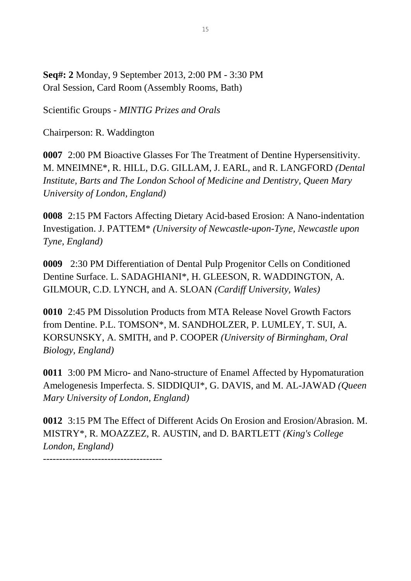**Seq#: 2** Monday, 9 September 2013, 2:00 PM - 3:30 PM Oral Session, Card Room (Assembly Rooms, Bath)

Scientific Groups - *MINTIG Prizes and Orals*

Chairperson: R. Waddington

**0007** 2:00 PM Bioactive Glasses For The Treatment of Dentine Hypersensitivity. M. MNEIMNE\*, R. HILL, D.G. GILLAM, J. EARL, and R. LANGFORD *(Dental Institute, Barts and The London School of Medicine and Dentistry, Queen Mary University of London, England)*

**0008** 2:15 PM Factors Affecting Dietary Acid-based Erosion: A Nano-indentation Investigation. J. PATTEM\* *(University of Newcastle-upon-Tyne, Newcastle upon Tyne, England)*

**0009** 2:30 PM Differentiation of Dental Pulp Progenitor Cells on Conditioned Dentine Surface. L. SADAGHIANI\*, H. GLEESON, R. WADDINGTON, A. GILMOUR, C.D. LYNCH, and A. SLOAN *(Cardiff University, Wales)*

**0010** 2:45 PM Dissolution Products from MTA Release Novel Growth Factors from Dentine. P.L. TOMSON\*, M. SANDHOLZER, P. LUMLEY, T. SUI, A. KORSUNSKY, A. SMITH, and P. COOPER *(University of Birmingham, Oral Biology, England)*

**0011** 3:00 PM Micro- and Nano-structure of Enamel Affected by Hypomaturation Amelogenesis Imperfecta. S. SIDDIQUI\*, G. DAVIS, and M. AL-JAWAD *(Queen Mary University of London, England)*

**0012** 3:15 PM The Effect of Different Acids On Erosion and Erosion/Abrasion. M. MISTRY\*, R. MOAZZEZ, R. AUSTIN, and D. BARTLETT *(King's College London, England)*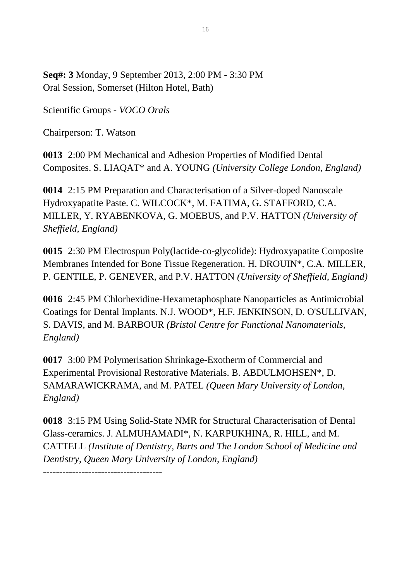**Seq#: 3** Monday, 9 September 2013, 2:00 PM - 3:30 PM Oral Session, Somerset (Hilton Hotel, Bath)

Scientific Groups - *VOCO Orals*

Chairperson: T. Watson

**0013** 2:00 PM Mechanical and Adhesion Properties of Modified Dental Composites. S. LIAQAT\* and A. YOUNG *(University College London, England)*

**0014** 2:15 PM Preparation and Characterisation of a Silver-doped Nanoscale Hydroxyapatite Paste. C. WILCOCK\*, M. FATIMA, G. STAFFORD, C.A. MILLER, Y. RYABENKOVA, G. MOEBUS, and P.V. HATTON *(University of Sheffield, England)*

**0015** 2:30 PM Electrospun Poly(lactide-co-glycolide): Hydroxyapatite Composite Membranes Intended for Bone Tissue Regeneration. H. DROUIN\*, C.A. MILLER, P. GENTILE, P. GENEVER, and P.V. HATTON *(University of Sheffield, England)*

**0016** 2:45 PM Chlorhexidine-Hexametaphosphate Nanoparticles as Antimicrobial Coatings for Dental Implants. N.J. WOOD\*, H.F. JENKINSON, D. O'SULLIVAN, S. DAVIS, and M. BARBOUR *(Bristol Centre for Functional Nanomaterials, England)*

**0017** 3:00 PM Polymerisation Shrinkage-Exotherm of Commercial and Experimental Provisional Restorative Materials. B. ABDULMOHSEN\*, D. SAMARAWICKRAMA, and M. PATEL *(Queen Mary University of London, England)*

**0018** 3:15 PM Using Solid-State NMR for Structural Characterisation of Dental Glass-ceramics. J. ALMUHAMADI\*, N. KARPUKHINA, R. HILL, and M. CATTELL *(Institute of Dentistry, Barts and The London School of Medicine and Dentistry, Queen Mary University of London, England)*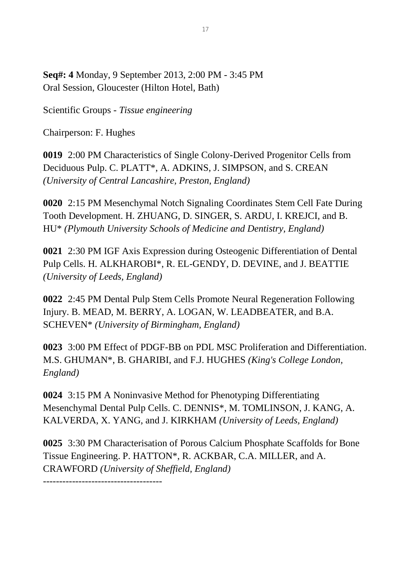**Seq#: 4** Monday, 9 September 2013, 2:00 PM - 3:45 PM Oral Session, Gloucester (Hilton Hotel, Bath)

Scientific Groups - *Tissue engineering*

Chairperson: F. Hughes

**0019** 2:00 PM Characteristics of Single Colony-Derived Progenitor Cells from Deciduous Pulp. C. PLATT\*, A. ADKINS, J. SIMPSON, and S. CREAN *(University of Central Lancashire, Preston, England)*

**0020** 2:15 PM Mesenchymal Notch Signaling Coordinates Stem Cell Fate During Tooth Development. H. ZHUANG, D. SINGER, S. ARDU, I. KREJCI, and B. HU\* *(Plymouth University Schools of Medicine and Dentistry, England)*

**0021** 2:30 PM IGF Axis Expression during Osteogenic Differentiation of Dental Pulp Cells. H. ALKHAROBI\*, R. EL-GENDY, D. DEVINE, and J. BEATTIE *(University of Leeds, England)*

**0022** 2:45 PM Dental Pulp Stem Cells Promote Neural Regeneration Following Injury. B. MEAD, M. BERRY, A. LOGAN, W. LEADBEATER, and B.A. SCHEVEN\* *(University of Birmingham, England)*

**0023** 3:00 PM Effect of PDGF-BB on PDL MSC Proliferation and Differentiation. M.S. GHUMAN\*, B. GHARIBI, and F.J. HUGHES *(King's College London, England)*

**0024** 3:15 PM A Noninvasive Method for Phenotyping Differentiating Mesenchymal Dental Pulp Cells. C. DENNIS\*, M. TOMLINSON, J. KANG, A. KALVERDA, X. YANG, and J. KIRKHAM *(University of Leeds, England)*

**0025** 3:30 PM Characterisation of Porous Calcium Phosphate Scaffolds for Bone Tissue Engineering. P. HATTON\*, R. ACKBAR, C.A. MILLER, and A. CRAWFORD *(University of Sheffield, England)*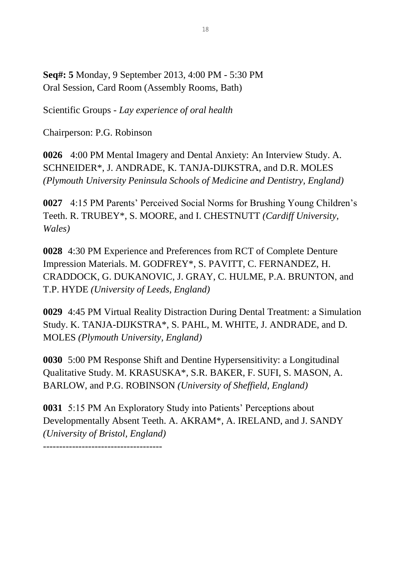**Seq#: 5** Monday, 9 September 2013, 4:00 PM - 5:30 PM Oral Session, Card Room (Assembly Rooms, Bath)

Scientific Groups - *Lay experience of oral health*

Chairperson: P.G. Robinson

-------------------------------------

**0026** 4:00 PM Mental Imagery and Dental Anxiety: An Interview Study. A. SCHNEIDER\*, J. ANDRADE, K. TANJA-DIJKSTRA, and D.R. MOLES *(Plymouth University Peninsula Schools of Medicine and Dentistry, England)*

**0027** 4:15 PM Parents' Perceived Social Norms for Brushing Young Children's Teeth. R. TRUBEY\*, S. MOORE, and I. CHESTNUTT *(Cardiff University, Wales)*

**0028** 4:30 PM Experience and Preferences from RCT of Complete Denture Impression Materials. M. GODFREY\*, S. PAVITT, C. FERNANDEZ, H. CRADDOCK, G. DUKANOVIC, J. GRAY, C. HULME, P.A. BRUNTON, and T.P. HYDE *(University of Leeds, England)*

**0029** 4:45 PM Virtual Reality Distraction During Dental Treatment: a Simulation Study. K. TANJA-DIJKSTRA\*, S. PAHL, M. WHITE, J. ANDRADE, and D. MOLES *(Plymouth University, England)*

**0030** 5:00 PM Response Shift and Dentine Hypersensitivity: a Longitudinal Qualitative Study. M. KRASUSKA\*, S.R. BAKER, F. SUFI, S. MASON, A. BARLOW, and P.G. ROBINSON *(University of Sheffield, England)*

**0031** 5:15 PM An Exploratory Study into Patients' Perceptions about Developmentally Absent Teeth. A. AKRAM\*, A. IRELAND, and J. SANDY *(University of Bristol, England)*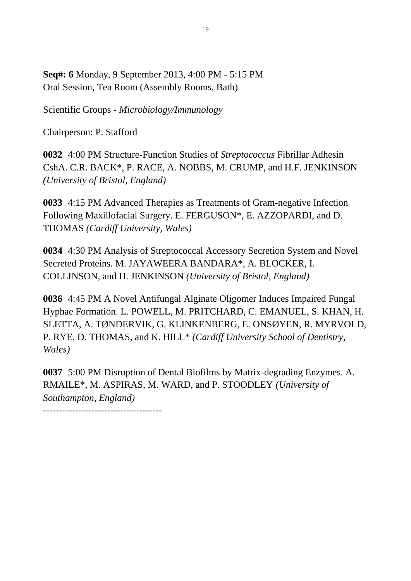**Seq#: 6** Monday, 9 September 2013, 4:00 PM - 5:15 PM Oral Session, Tea Room (Assembly Rooms, Bath)

Scientific Groups - *Microbiology/Immunology*

Chairperson: P. Stafford

**0032** 4:00 PM Structure-Function Studies of *Streptococcus* Fibrillar Adhesin CshA. C.R. BACK\*, P. RACE, A. NOBBS, M. CRUMP, and H.F. JENKINSON *(University of Bristol, England)*

**0033** 4:15 PM Advanced Therapies as Treatments of Gram-negative Infection Following Maxillofacial Surgery. E. FERGUSON\*, E. AZZOPARDI, and D. THOMAS *(Cardiff University, Wales)*

**0034** 4:30 PM Analysis of Streptococcal Accessory Secretion System and Novel Secreted Proteins. M. JAYAWEERA BANDARA\*, A. BLOCKER, I. COLLINSON, and H. JENKINSON *(University of Bristol, England)*

**0036** 4:45 PM A Novel Antifungal Alginate Oligomer Induces Impaired Fungal Hyphae Formation. L. POWELL, M. PRITCHARD, C. EMANUEL, S. KHAN, H. SLETTA, A. TØNDERVIK, G. KLINKENBERG, E. ONSØYEN, R. MYRVOLD, P. RYE, D. THOMAS, and K. HILL\* *(Cardiff University School of Dentistry, Wales)*

**0037** 5:00 PM Disruption of Dental Biofilms by Matrix-degrading Enzymes. A. RMAILE\*, M. ASPIRAS, M. WARD, and P. STOODLEY *(University of Southampton, England)*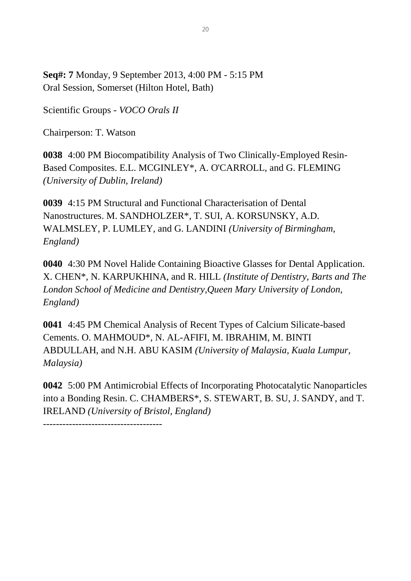**Seq#: 7** Monday, 9 September 2013, 4:00 PM - 5:15 PM Oral Session, Somerset (Hilton Hotel, Bath)

Scientific Groups - *VOCO Orals II*

Chairperson: T. Watson

**0038** 4:00 PM Biocompatibility Analysis of Two Clinically-Employed Resin-Based Composites. E.L. MCGINLEY\*, A. O'CARROLL, and G. FLEMING *(University of Dublin, Ireland)*

**0039** 4:15 PM Structural and Functional Characterisation of Dental Nanostructures. M. SANDHOLZER\*, T. SUI, A. KORSUNSKY, A.D. WALMSLEY, P. LUMLEY, and G. LANDINI *(University of Birmingham, England)*

**0040** 4:30 PM Novel Halide Containing Bioactive Glasses for Dental Application. X. CHEN\*, N. KARPUKHINA, and R. HILL *(Institute of Dentistry, Barts and The London School of Medicine and Dentistry,Queen Mary University of London, England)*

**0041** 4:45 PM Chemical Analysis of Recent Types of Calcium Silicate-based Cements. O. MAHMOUD\*, N. AL-AFIFI, M. IBRAHIM, M. BINTI ABDULLAH, and N.H. ABU KASIM *(University of Malaysia, Kuala Lumpur, Malaysia)*

**0042** 5:00 PM Antimicrobial Effects of Incorporating Photocatalytic Nanoparticles into a Bonding Resin. C. CHAMBERS\*, S. STEWART, B. SU, J. SANDY, and T. IRELAND *(University of Bristol, England)*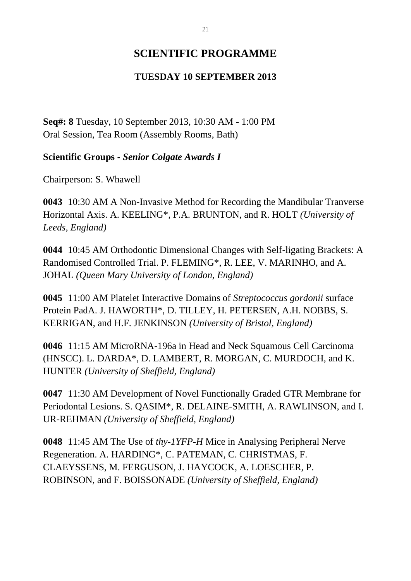### **SCIENTIFIC PROGRAMME**

### **TUESDAY 10 SEPTEMBER 2013**

**Seq#: 8** Tuesday, 10 September 2013, 10:30 AM - 1:00 PM Oral Session, Tea Room (Assembly Rooms, Bath)

**Scientific Groups -** *Senior Colgate Awards I*

Chairperson: S. Whawell

**0043** 10:30 AM A Non-Invasive Method for Recording the Mandibular Tranverse Horizontal Axis. A. KEELING\*, P.A. BRUNTON, and R. HOLT *(University of Leeds, England)*

**0044** 10:45 AM Orthodontic Dimensional Changes with Self-ligating Brackets: A Randomised Controlled Trial. P. FLEMING\*, R. LEE, V. MARINHO, and A. JOHAL *(Queen Mary University of London, England)*

**0045** 11:00 AM Platelet Interactive Domains of *Streptococcus gordonii* surface Protein PadA. J. HAWORTH\*, D. TILLEY, H. PETERSEN, A.H. NOBBS, S. KERRIGAN, and H.F. JENKINSON *(University of Bristol, England)*

**0046** 11:15 AM MicroRNA-196a in Head and Neck Squamous Cell Carcinoma (HNSCC). L. DARDA\*, D. LAMBERT, R. MORGAN, C. MURDOCH, and K. HUNTER *(University of Sheffield, England)*

**0047** 11:30 AM Development of Novel Functionally Graded GTR Membrane for Periodontal Lesions. S. QASIM\*, R. DELAINE-SMITH, A. RAWLINSON, and I. UR-REHMAN *(University of Sheffield, England)*

**0048** 11:45 AM The Use of *thy-1YFP-H* Mice in Analysing Peripheral Nerve Regeneration. A. HARDING\*, C. PATEMAN, C. CHRISTMAS, F. CLAEYSSENS, M. FERGUSON, J. HAYCOCK, A. LOESCHER, P. ROBINSON, and F. BOISSONADE *(University of Sheffield, England)*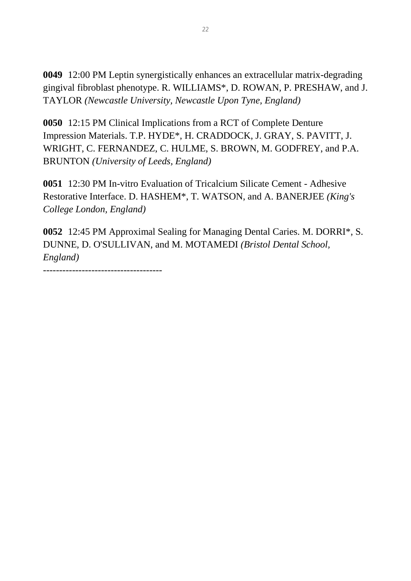**0049** 12:00 PM Leptin synergistically enhances an extracellular matrix-degrading gingival fibroblast phenotype. R. WILLIAMS\*, D. ROWAN, P. PRESHAW, and J. TAYLOR *(Newcastle University, Newcastle Upon Tyne, England)*

**0050** 12:15 PM Clinical Implications from a RCT of Complete Denture Impression Materials. T.P. HYDE\*, H. CRADDOCK, J. GRAY, S. PAVITT, J. WRIGHT, C. FERNANDEZ, C. HULME, S. BROWN, M. GODFREY, and P.A. BRUNTON *(University of Leeds, England)*

**0051** 12:30 PM In-vitro Evaluation of Tricalcium Silicate Cement - Adhesive Restorative Interface. D. HASHEM\*, T. WATSON, and A. BANERJEE *(King's College London, England)*

**0052** 12:45 PM Approximal Sealing for Managing Dental Caries. M. DORRI\*, S. DUNNE, D. O'SULLIVAN, and M. MOTAMEDI *(Bristol Dental School, England)*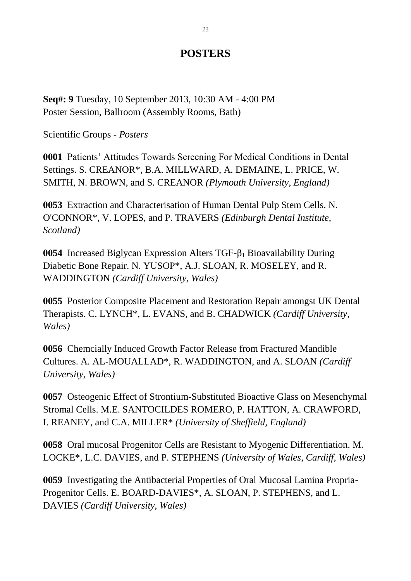### **POSTERS**

**Seq#: 9** Tuesday, 10 September 2013, 10:30 AM - 4:00 PM Poster Session, Ballroom (Assembly Rooms, Bath)

Scientific Groups - *Posters*

**0001** Patients' Attitudes Towards Screening For Medical Conditions in Dental Settings. S. CREANOR\*, B.A. MILLWARD, A. DEMAINE, L. PRICE, W. SMITH, N. BROWN, and S. CREANOR *(Plymouth University, England)*

**0053** Extraction and Characterisation of Human Dental Pulp Stem Cells. N. O'CONNOR\*, V. LOPES, and P. TRAVERS *(Edinburgh Dental Institute, Scotland)*

**0054** Increased Biglycan Expression Alters TGF-β<sup>1</sup> Bioavailability During Diabetic Bone Repair. N. YUSOP\*, A.J. SLOAN, R. MOSELEY, and R. WADDINGTON *(Cardiff University, Wales)*

**0055** Posterior Composite Placement and Restoration Repair amongst UK Dental Therapists. C. LYNCH\*, L. EVANS, and B. CHADWICK *(Cardiff University, Wales)*

**0056** Chemcially Induced Growth Factor Release from Fractured Mandible Cultures. A. AL-MOUALLAD\*, R. WADDINGTON, and A. SLOAN *(Cardiff University, Wales)*

**0057** Osteogenic Effect of Strontium-Substituted Bioactive Glass on Mesenchymal Stromal Cells. M.E. SANTOCILDES ROMERO, P. HATTON, A. CRAWFORD, I. REANEY, and C.A. MILLER\* *(University of Sheffield, England)*

**0058** Oral mucosal Progenitor Cells are Resistant to Myogenic Differentiation. M. LOCKE\*, L.C. DAVIES, and P. STEPHENS *(University of Wales, Cardiff, Wales)*

**0059** Investigating the Antibacterial Properties of Oral Mucosal Lamina Propria-Progenitor Cells. E. BOARD-DAVIES\*, A. SLOAN, P. STEPHENS, and L. DAVIES *(Cardiff University, Wales)*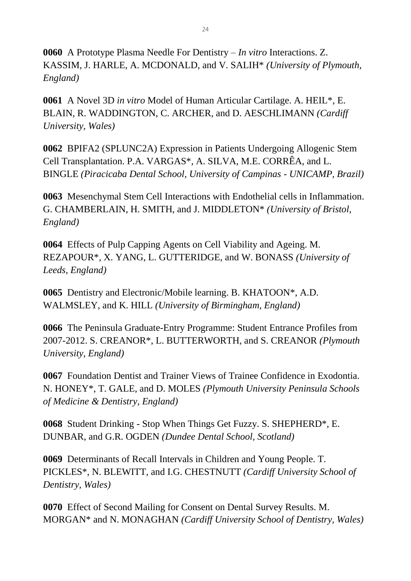**0060** A Prototype Plasma Needle For Dentistry – *In vitro* Interactions. Z. KASSIM, J. HARLE, A. MCDONALD, and V. SALIH\* *(University of Plymouth, England)*

**0061** A Novel 3D *in vitro* Model of Human Articular Cartilage. A. HEIL\*, E. BLAIN, R. WADDINGTON, C. ARCHER, and D. AESCHLIMANN *(Cardiff University, Wales)*

**0062** BPIFA2 (SPLUNC2A) Expression in Patients Undergoing Allogenic Stem Cell Transplantation. P.A. VARGAS\*, A. SILVA, M.E. CORRÊA, and L. BINGLE *(Piracicaba Dental School, University of Campinas - UNICAMP, Brazil)*

**0063** Mesenchymal Stem Cell Interactions with Endothelial cells in Inflammation. G. CHAMBERLAIN, H. SMITH, and J. MIDDLETON\* *(University of Bristol, England)*

**0064** Effects of Pulp Capping Agents on Cell Viability and Ageing. M. REZAPOUR\*, X. YANG, L. GUTTERIDGE, and W. BONASS *(University of Leeds, England)*

**0065** Dentistry and Electronic/Mobile learning. B. KHATOON\*, A.D. WALMSLEY, and K. HILL *(University of Birmingham, England)*

**0066** The Peninsula Graduate-Entry Programme: Student Entrance Profiles from 2007-2012. S. CREANOR\*, L. BUTTERWORTH, and S. CREANOR *(Plymouth University, England)*

**0067** Foundation Dentist and Trainer Views of Trainee Confidence in Exodontia. N. HONEY\*, T. GALE, and D. MOLES *(Plymouth University Peninsula Schools of Medicine & Dentistry, England)*

**0068** Student Drinking - Stop When Things Get Fuzzy. S. SHEPHERD\*, E. DUNBAR, and G.R. OGDEN *(Dundee Dental School, Scotland)*

**0069** Determinants of Recall Intervals in Children and Young People. T. PICKLES\*, N. BLEWITT, and I.G. CHESTNUTT *(Cardiff University School of Dentistry, Wales)*

**0070** Effect of Second Mailing for Consent on Dental Survey Results. M. MORGAN\* and N. MONAGHAN *(Cardiff University School of Dentistry, Wales)*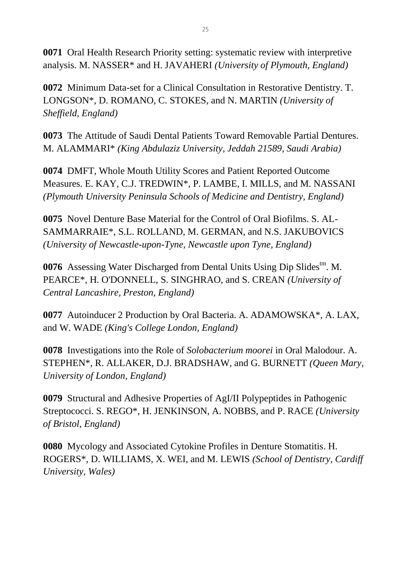**0071** Oral Health Research Priority setting: systematic review with interpretive analysis. M. NASSER\* and H. JAVAHERI *(University of Plymouth, England)*

**0072** Minimum Data-set for a Clinical Consultation in Restorative Dentistry. T. LONGSON\*, D. ROMANO, C. STOKES, and N. MARTIN *(University of Sheffield, England)*

**0073** The Attitude of Saudi Dental Patients Toward Removable Partial Dentures. M. ALAMMARI\* *(King Abdulaziz University, Jeddah 21589, Saudi Arabia)*

**0074** DMFT, Whole Mouth Utility Scores and Patient Reported Outcome Measures. E. KAY, C.J. TREDWIN\*, P. LAMBE, I. MILLS, and M. NASSANI *(Plymouth University Peninsula Schools of Medicine and Dentistry, England)*

**0075** Novel Denture Base Material for the Control of Oral Biofilms. S. AL-SAMMARRAIE\*, S.L. ROLLAND, M. GERMAN, and N.S. JAKUBOVICS *(University of Newcastle-upon-Tyne, Newcastle upon Tyne, England)*

**0076** Assessing Water Discharged from Dental Units Using Dip Slides<sup>tm</sup>. M. PEARCE\*, H. O'DONNELL, S. SINGHRAO, and S. CREAN *(University of Central Lancashire, Preston, England)*

**0077** Autoinducer 2 Production by Oral Bacteria. A. ADAMOWSKA\*, A. LAX, and W. WADE *(King's College London, England)*

**0078** Investigations into the Role of *Solobacterium moorei* in Oral Malodour. A. STEPHEN\*, R. ALLAKER, D.J. BRADSHAW, and G. BURNETT *(Queen Mary, University of London, England)*

**0079** Structural and Adhesive Properties of AgI/II Polypeptides in Pathogenic Streptococci. S. REGO\*, H. JENKINSON, A. NOBBS, and P. RACE *(University of Bristol, England)*

**0080** Mycology and Associated Cytokine Profiles in Denture Stomatitis. H. ROGERS\*, D. WILLIAMS, X. WEI, and M. LEWIS *(School of Dentistry, Cardiff University, Wales)*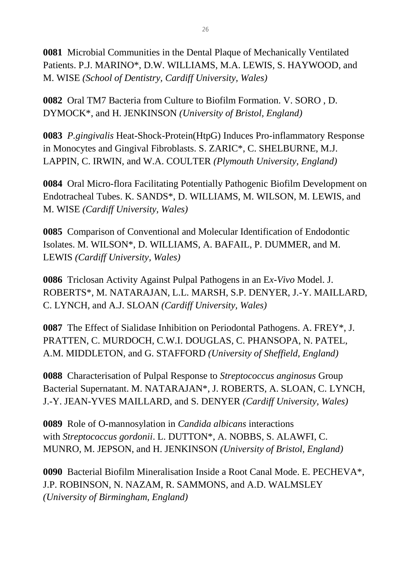**0081** Microbial Communities in the Dental Plaque of Mechanically Ventilated Patients. P.J. MARINO\*, D.W. WILLIAMS, M.A. LEWIS, S. HAYWOOD, and M. WISE *(School of Dentistry, Cardiff University, Wales)*

**0082** Oral TM7 Bacteria from Culture to Biofilm Formation. V. SORO , D. DYMOCK\*, and H. JENKINSON *(University of Bristol, England)*

**0083** *P.gingivalis* Heat-Shock-Protein(HtpG) Induces Pro-inflammatory Response in Monocytes and Gingival Fibroblasts. S. ZARIC\*, C. SHELBURNE, M.J. LAPPIN, C. IRWIN, and W.A. COULTER *(Plymouth University, England)*

**0084** Oral Micro-flora Facilitating Potentially Pathogenic Biofilm Development on Endotracheal Tubes. K. SANDS\*, D. WILLIAMS, M. WILSON, M. LEWIS, and M. WISE *(Cardiff University, Wales)*

**0085** Comparison of Conventional and Molecular Identification of Endodontic Isolates. M. WILSON\*, D. WILLIAMS, A. BAFAIL, P. DUMMER, and M. LEWIS *(Cardiff University, Wales)*

**0086** Triclosan Activity Against Pulpal Pathogens in an E*x-Vivo* Model. J. ROBERTS\*, M. NATARAJAN, L.L. MARSH, S.P. DENYER, J.-Y. MAILLARD, C. LYNCH, and A.J. SLOAN *(Cardiff University, Wales)*

**0087** The Effect of Sialidase Inhibition on Periodontal Pathogens. A. FREY\*, J. PRATTEN, C. MURDOCH, C.W.I. DOUGLAS, C. PHANSOPA, N. PATEL, A.M. MIDDLETON, and G. STAFFORD *(University of Sheffield, England)*

**0088** Characterisation of Pulpal Response to *Streptococcus anginosus* Group Bacterial Supernatant. M. NATARAJAN\*, J. ROBERTS, A. SLOAN, C. LYNCH, J.-Y. JEAN-YVES MAILLARD, and S. DENYER *(Cardiff University, Wales)*

**0089** Role of O-mannosylation in *Candida albicans* interactions with *Streptococcus gordonii*. L. DUTTON\*, A. NOBBS, S. ALAWFI, C. MUNRO, M. JEPSON, and H. JENKINSON *(University of Bristol, England)*

**0090** Bacterial Biofilm Mineralisation Inside a Root Canal Mode. E. PECHEVA\*, J.P. ROBINSON, N. NAZAM, R. SAMMONS, and A.D. WALMSLEY *(University of Birmingham, England)*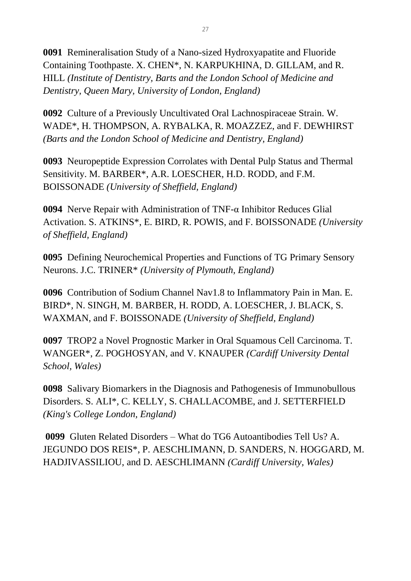**0091** Remineralisation Study of a Nano-sized Hydroxyapatite and Fluoride Containing Toothpaste. X. CHEN\*, N. KARPUKHINA, D. GILLAM, and R. HILL *(Institute of Dentistry, Barts and the London School of Medicine and Dentistry, Queen Mary, University of London, England)*

**0092** Culture of a Previously Uncultivated Oral Lachnospiraceae Strain. W. WADE\*, H. THOMPSON, A. RYBALKA, R. MOAZZEZ, and F. DEWHIRST *(Barts and the London School of Medicine and Dentistry, England)*

**0093** Neuropeptide Expression Corrolates with Dental Pulp Status and Thermal Sensitivity. M. BARBER\*, A.R. LOESCHER, H.D. RODD, and F.M. BOISSONADE *(University of Sheffield, England)*

**0094** Nerve Repair with Administration of TNF-α Inhibitor Reduces Glial Activation. S. ATKINS\*, E. BIRD, R. POWIS, and F. BOISSONADE *(University of Sheffield, England)*

**0095** Defining Neurochemical Properties and Functions of TG Primary Sensory Neurons. J.C. TRINER\* *(University of Plymouth, England)*

**0096** Contribution of Sodium Channel Nav1.8 to Inflammatory Pain in Man. E. BIRD\*, N. SINGH, M. BARBER, H. RODD, A. LOESCHER, J. BLACK, S. WAXMAN, and F. BOISSONADE *(University of Sheffield, England)*

**0097** TROP2 a Novel Prognostic Marker in Oral Squamous Cell Carcinoma. T. WANGER\*, Z. POGHOSYAN, and V. KNAUPER *(Cardiff University Dental School, Wales)*

**0098** Salivary Biomarkers in the Diagnosis and Pathogenesis of Immunobullous Disorders. S. ALI\*, C. KELLY, S. CHALLACOMBE, and J. SETTERFIELD *(King's College London, England)*

**0099** Gluten Related Disorders – What do TG6 Autoantibodies Tell Us? A. JEGUNDO DOS REIS\*, P. AESCHLIMANN, D. SANDERS, N. HOGGARD, M. HADJIVASSILIOU, and D. AESCHLIMANN *(Cardiff University, Wales)*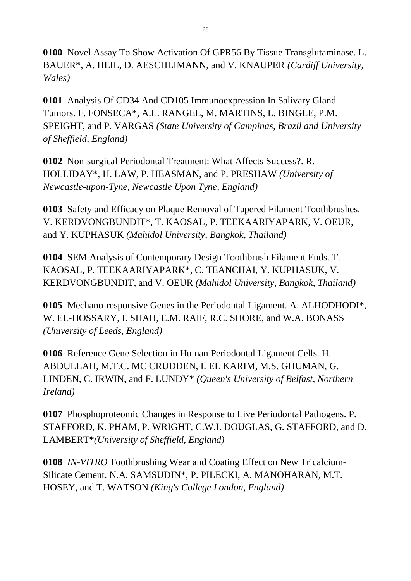**0100** Novel Assay To Show Activation Of GPR56 By Tissue Transglutaminase. L. BAUER\*, A. HEIL, D. AESCHLIMANN, and V. KNAUPER *(Cardiff University, Wales)*

**0101** Analysis Of CD34 And CD105 Immunoexpression In Salivary Gland Tumors. F. FONSECA\*, A.L. RANGEL, M. MARTINS, L. BINGLE, P.M. SPEIGHT, and P. VARGAS *(State University of Campinas, Brazil and University of Sheffield, England)*

**0102** Non-surgical Periodontal Treatment: What Affects Success?. R. HOLLIDAY\*, H. LAW, P. HEASMAN, and P. PRESHAW *(University of Newcastle-upon-Tyne, Newcastle Upon Tyne, England)*

**0103** Safety and Efficacy on Plaque Removal of Tapered Filament Toothbrushes. V. KERDVONGBUNDIT\*, T. KAOSAL, P. TEEKAARIYAPARK, V. OEUR, and Y. KUPHASUK *(Mahidol University, Bangkok, Thailand)*

**0104** SEM Analysis of Contemporary Design Toothbrush Filament Ends. T. KAOSAL, P. TEEKAARIYAPARK\*, C. TEANCHAI, Y. KUPHASUK, V. KERDVONGBUNDIT, and V. OEUR *(Mahidol University, Bangkok, Thailand)*

**0105** Mechano-responsive Genes in the Periodontal Ligament. A. ALHODHODI\*, W. EL-HOSSARY, I. SHAH, E.M. RAIF, R.C. SHORE, and W.A. BONASS *(University of Leeds, England)*

**0106** Reference Gene Selection in Human Periodontal Ligament Cells. H. ABDULLAH, M.T.C. MC CRUDDEN, I. EL KARIM, M.S. GHUMAN, G. LINDEN, C. IRWIN, and F. LUNDY\* *(Queen's University of Belfast, Northern Ireland)*

**0107** Phosphoproteomic Changes in Response to Live Periodontal Pathogens. P. STAFFORD, K. PHAM, P. WRIGHT, C.W.I. DOUGLAS, G. STAFFORD, and D. LAMBERT\**(University of Sheffield, England)*

**0108** *IN-VITRO* Toothbrushing Wear and Coating Effect on New Tricalcium-Silicate Cement. N.A. SAMSUDIN\*, P. PILECKI, A. MANOHARAN, M.T. HOSEY, and T. WATSON *(King's College London, England)*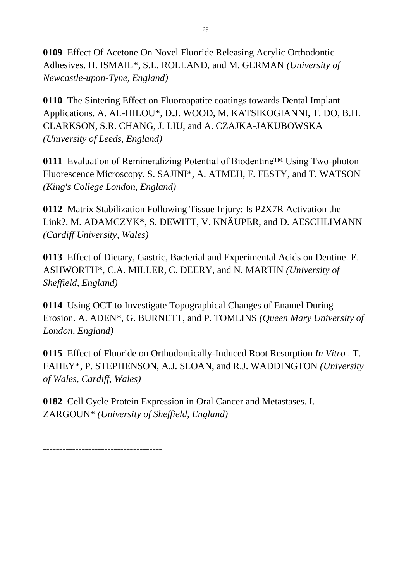**0109** Effect Of Acetone On Novel Fluoride Releasing Acrylic Orthodontic Adhesives. H. ISMAIL\*, S.L. ROLLAND, and M. GERMAN *(University of Newcastle-upon-Tyne, England)*

**0110** The Sintering Effect on Fluoroapatite coatings towards Dental Implant Applications. A. AL-HILOU\*, D.J. WOOD, M. KATSIKOGIANNI, T. DO, B.H. CLARKSON, S.R. CHANG, J. LIU, and A. CZAJKA-JAKUBOWSKA *(University of Leeds, England)*

**0111** Evaluation of Remineralizing Potential of Biodentine™ Using Two-photon Fluorescence Microscopy. S. SAJINI\*, A. ATMEH, F. FESTY, and T. WATSON *(King's College London, England)*

**0112** Matrix Stabilization Following Tissue Injury: Is P2X7R Activation the Link?. M. ADAMCZYK\*, S. DEWITT, V. KNÄUPER, and D. AESCHLIMANN *(Cardiff University, Wales)*

**0113** Effect of Dietary, Gastric, Bacterial and Experimental Acids on Dentine. E. ASHWORTH\*, C.A. MILLER, C. DEERY, and N. MARTIN *(University of Sheffield, England)*

**0114** Using OCT to Investigate Topographical Changes of Enamel During Erosion. A. ADEN\*, G. BURNETT, and P. TOMLINS *(Queen Mary University of London, England)*

**0115** Effect of Fluoride on Orthodontically-Induced Root Resorption *In Vitro* . T. FAHEY\*, P. STEPHENSON, A.J. SLOAN, and R.J. WADDINGTON *(University of Wales, Cardiff, Wales)*

**0182** Cell Cycle Protein Expression in Oral Cancer and Metastases. I. ZARGOUN\* *(University of Sheffield, England)*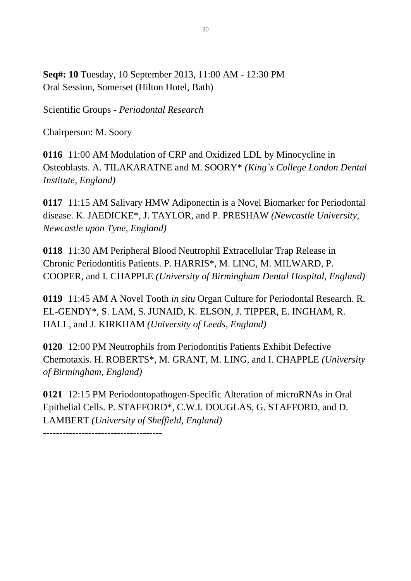**Seq#: 10** Tuesday, 10 September 2013, 11:00 AM - 12:30 PM Oral Session, Somerset (Hilton Hotel, Bath)

Scientific Groups - *Periodontal Research*

Chairperson: M. Soory

**0116** 11:00 AM Modulation of CRP and Oxidized LDL by Minocycline in Osteoblasts. A. TILAKARATNE and M. SOORY\* *(King`s College London Dental Institute, England)*

**0117** 11:15 AM Salivary HMW Adiponectin is a Novel Biomarker for Periodontal disease. K. JAEDICKE\*, J. TAYLOR, and P. PRESHAW *(Newcastle University, Newcastle upon Tyne, England)*

**0118** 11:30 AM Peripheral Blood Neutrophil Extracellular Trap Release in Chronic Periodontitis Patients. P. HARRIS\*, M. LING, M. MILWARD, P. COOPER, and I. CHAPPLE *(University of Birmingham Dental Hospital, England)*

**0119** 11:45 AM A Novel Tooth *in situ* Organ Culture for Periodontal Research. R. EL-GENDY\*, S. LAM, S. JUNAID, K. ELSON, J. TIPPER, E. INGHAM, R. HALL, and J. KIRKHAM *(University of Leeds, England)*

**0120** 12:00 PM Neutrophils from Periodontitis Patients Exhibit Defective Chemotaxis. H. ROBERTS\*, M. GRANT, M. LING, and I. CHAPPLE *(University of Birmingham, England)*

**0121** 12:15 PM Periodontopathogen-Specific Alteration of microRNAs in Oral Epithelial Cells. P. STAFFORD\*, C.W.I. DOUGLAS, G. STAFFORD, and D. LAMBERT *(University of Sheffield, England)*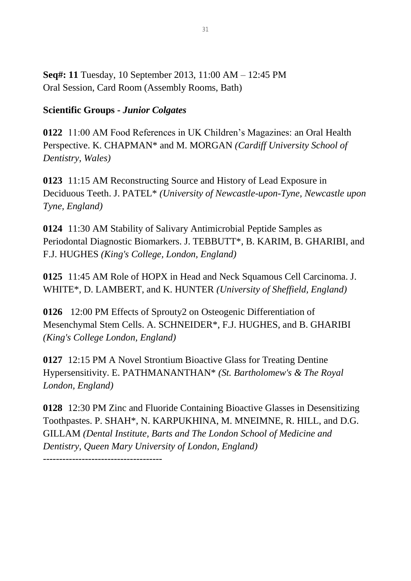**Seq#: 11** Tuesday, 10 September 2013, 11:00 AM – 12:45 PM Oral Session, Card Room (Assembly Rooms, Bath)

### **Scientific Groups -** *Junior Colgates*

**0122** 11:00 AM Food References in UK Children's Magazines: an Oral Health Perspective. K. CHAPMAN\* and M. MORGAN *(Cardiff University School of Dentistry, Wales)*

**0123** 11:15 AM Reconstructing Source and History of Lead Exposure in Deciduous Teeth. J. PATEL\* *(University of Newcastle-upon-Tyne, Newcastle upon Tyne, England)*

**0124** 11:30 AM Stability of Salivary Antimicrobial Peptide Samples as Periodontal Diagnostic Biomarkers. J. TEBBUTT\*, B. KARIM, B. GHARIBI, and F.J. HUGHES *(King's College, London, England)*

**0125** 11:45 AM Role of HOPX in Head and Neck Squamous Cell Carcinoma. J. WHITE\*, D. LAMBERT, and K. HUNTER *(University of Sheffield, England)*

**0126** 12:00 PM Effects of Sprouty2 on Osteogenic Differentiation of Mesenchymal Stem Cells. A. SCHNEIDER\*, F.J. HUGHES, and B. GHARIBI *(King's College London, England)*

**0127** 12:15 PM A Novel Strontium Bioactive Glass for Treating Dentine Hypersensitivity. E. PATHMANANTHAN\* *(St. Bartholomew's & The Royal London, England)*

**0128** 12:30 PM Zinc and Fluoride Containing Bioactive Glasses in Desensitizing Toothpastes. P. SHAH\*, N. KARPUKHINA, M. MNEIMNE, R. HILL, and D.G. GILLAM *(Dental Institute, Barts and The London School of Medicine and Dentistry, Queen Mary University of London, England)*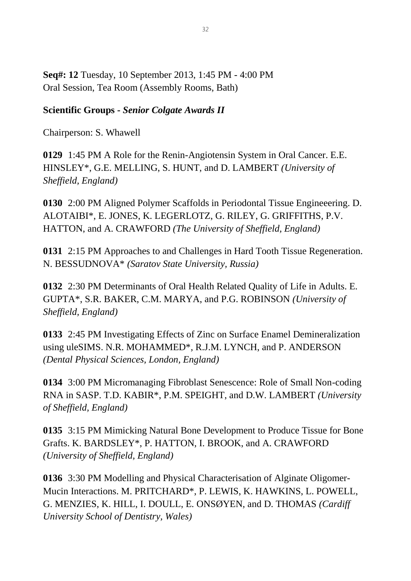**Seq#: 12** Tuesday, 10 September 2013, 1:45 PM - 4:00 PM Oral Session, Tea Room (Assembly Rooms, Bath)

### **Scientific Groups -** *Senior Colgate Awards II*

Chairperson: S. Whawell

**0129** 1:45 PM A Role for the Renin-Angiotensin System in Oral Cancer. E.E. HINSLEY\*, G.E. MELLING, S. HUNT, and D. LAMBERT *(University of Sheffield, England)*

**0130** 2:00 PM Aligned Polymer Scaffolds in Periodontal Tissue Engineeering. D. ALOTAIBI\*, E. JONES, K. LEGERLOTZ, G. RILEY, G. GRIFFITHS, P.V. HATTON, and A. CRAWFORD *(The University of Sheffield, England)*

**0131** 2:15 PM Approaches to and Challenges in Hard Tooth Tissue Regeneration. N. BESSUDNOVA\* *(Saratov State University, Russia)*

**0132** 2:30 PM Determinants of Oral Health Related Quality of Life in Adults. E. GUPTA\*, S.R. BAKER, C.M. MARYA, and P.G. ROBINSON *(University of Sheffield, England)*

**0133** 2:45 PM Investigating Effects of Zinc on Surface Enamel Demineralization using uleSIMS. N.R. MOHAMMED\*, R.J.M. LYNCH, and P. ANDERSON *(Dental Physical Sciences, London, England)*

**0134** 3:00 PM Micromanaging Fibroblast Senescence: Role of Small Non-coding RNA in SASP. T.D. KABIR\*, P.M. SPEIGHT, and D.W. LAMBERT *(University of Sheffield, England)*

**0135** 3:15 PM Mimicking Natural Bone Development to Produce Tissue for Bone Grafts. K. BARDSLEY\*, P. HATTON, I. BROOK, and A. CRAWFORD *(University of Sheffield, England)*

**0136** 3:30 PM Modelling and Physical Characterisation of Alginate Oligomer-Mucin Interactions. M. PRITCHARD\*, P. LEWIS, K. HAWKINS, L. POWELL, G. MENZIES, K. HILL, I. DOULL, E. ONSØYEN, and D. THOMAS *(Cardiff University School of Dentistry, Wales)*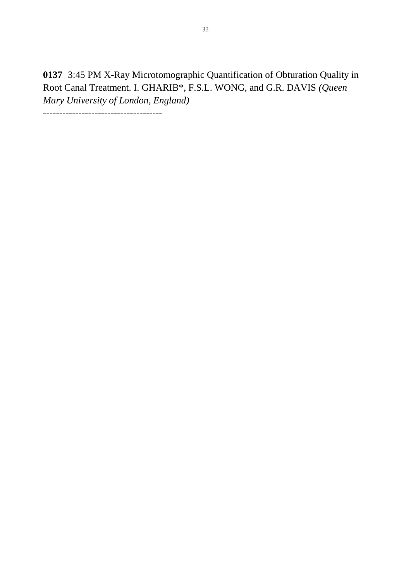**0137** 3:45 PM X-Ray Microtomographic Quantification of Obturation Quality in Root Canal Treatment. I. GHARIB\*, F.S.L. WONG, and G.R. DAVIS *(Queen Mary University of London, England)*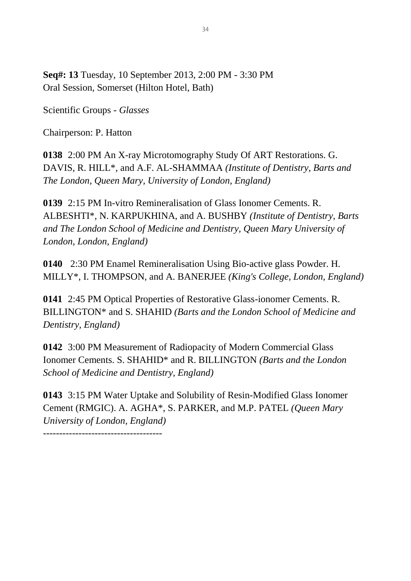**Seq#: 13** Tuesday, 10 September 2013, 2:00 PM - 3:30 PM Oral Session, Somerset (Hilton Hotel, Bath)

Scientific Groups - *Glasses*

Chairperson: P. Hatton

**0138** 2:00 PM An X-ray Microtomography Study Of ART Restorations. G. DAVIS, R. HILL\*, and A.F. AL-SHAMMAA *(Institute of Dentistry, Barts and The London, Queen Mary, University of London, England)*

**0139** 2:15 PM In-vitro Remineralisation of Glass Ionomer Cements. R. ALBESHTI\*, N. KARPUKHINA, and A. BUSHBY *(Institute of Dentistry, Barts and The London School of Medicine and Dentistry, Queen Mary University of London, London, England)*

**0140** 2:30 PM Enamel Remineralisation Using Bio-active glass Powder. H. MILLY\*, I. THOMPSON, and A. BANERJEE *(King's College, London, England)*

**0141** 2:45 PM Optical Properties of Restorative Glass-ionomer Cements. R. BILLINGTON\* and S. SHAHID *(Barts and the London School of Medicine and Dentistry, England)*

**0142** 3:00 PM Measurement of Radiopacity of Modern Commercial Glass Ionomer Cements. S. SHAHID\* and R. BILLINGTON *(Barts and the London School of Medicine and Dentistry, England)*

**0143** 3:15 PM Water Uptake and Solubility of Resin-Modified Glass Ionomer Cement (RMGIC). A. AGHA\*, S. PARKER, and M.P. PATEL *(Queen Mary University of London, England)*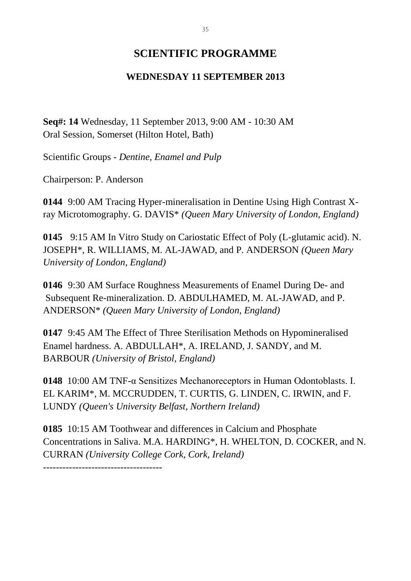### **SCIENTIFIC PROGRAMME**

### **WEDNESDAY 11 SEPTEMBER 2013**

**Seq#: 14** Wednesday, 11 September 2013, 9:00 AM - 10:30 AM Oral Session, Somerset (Hilton Hotel, Bath)

Scientific Groups - *Dentine, Enamel and Pulp*

Chairperson: P. Anderson

**0144** 9:00 AM Tracing Hyper-mineralisation in Dentine Using High Contrast Xray Microtomography. G. DAVIS\* *(Queen Mary University of London, England)*

**0145** 9:15 AM In Vitro Study on Cariostatic Effect of Poly (L-glutamic acid). N. JOSEPH\*, R. WILLIAMS, M. AL-JAWAD, and P. ANDERSON *(Queen Mary University of London, England)*

**0146** 9:30 AM Surface Roughness Measurements of Enamel During De- and Subsequent Re-mineralization. D. ABDULHAMED, M. AL-JAWAD, and P. ANDERSON\* *(Queen Mary University of London, England)*

**0147** 9:45 AM The Effect of Three Sterilisation Methods on Hypomineralised Enamel hardness. A. ABDULLAH\*, A. IRELAND, J. SANDY, and M. BARBOUR *(University of Bristol, England)*

**0148** 10:00 AM TNF-α Sensitizes Mechanoreceptors in Human Odontoblasts. I. EL KARIM\*, M. MCCRUDDEN, T. CURTIS, G. LINDEN, C. IRWIN, and F. LUNDY *(Queen's University Belfast, Northern Ireland)*

**0185** 10:15 AM Toothwear and differences in Calcium and Phosphate Concentrations in Saliva. M.A. HARDING\*, H. WHELTON, D. COCKER, and N. CURRAN *(University College Cork, Cork, Ireland)*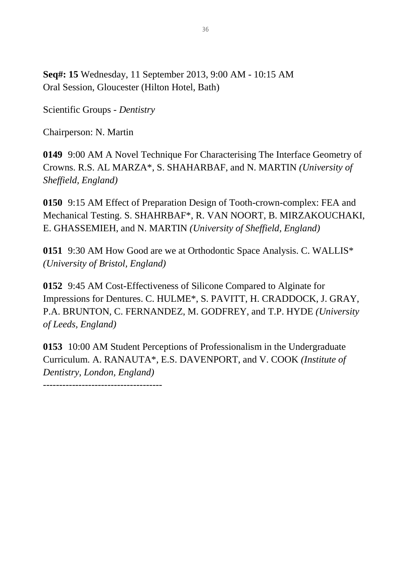**Seq#: 15** Wednesday, 11 September 2013, 9:00 AM - 10:15 AM Oral Session, Gloucester (Hilton Hotel, Bath)

Scientific Groups - *Dentistry*

Chairperson: N. Martin

**0149** 9:00 AM A Novel Technique For Characterising The Interface Geometry of Crowns. R.S. AL MARZA\*, S. SHAHARBAF, and N. MARTIN *(University of Sheffield, England)*

**0150** 9:15 AM Effect of Preparation Design of Tooth-crown-complex: FEA and Mechanical Testing. S. SHAHRBAF\*, R. VAN NOORT, B. MIRZAKOUCHAKI, E. GHASSEMIEH, and N. MARTIN *(University of Sheffield, England)*

**0151** 9:30 AM How Good are we at Orthodontic Space Analysis. C. WALLIS\* *(University of Bristol, England)*

**0152** 9:45 AM Cost-Effectiveness of Silicone Compared to Alginate for Impressions for Dentures. C. HULME\*, S. PAVITT, H. CRADDOCK, J. GRAY, P.A. BRUNTON, C. FERNANDEZ, M. GODFREY, and T.P. HYDE *(University of Leeds, England)*

**0153** 10:00 AM Student Perceptions of Professionalism in the Undergraduate Curriculum. A. RANAUTA\*, E.S. DAVENPORT, and V. COOK *(Institute of Dentistry, London, England)*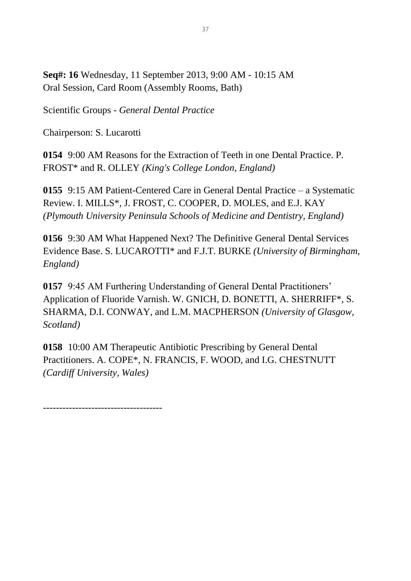**Seq#: 16** Wednesday, 11 September 2013, 9:00 AM - 10:15 AM Oral Session, Card Room (Assembly Rooms, Bath)

Scientific Groups - *General Dental Practice*

Chairperson: S. Lucarotti

**0154** 9:00 AM Reasons for the Extraction of Teeth in one Dental Practice. P. FROST\* and R. OLLEY *(King's College London, England)*

**0155** 9:15 AM Patient-Centered Care in General Dental Practice – a Systematic Review. I. MILLS\*, J. FROST, C. COOPER, D. MOLES, and E.J. KAY *(Plymouth University Peninsula Schools of Medicine and Dentistry, England)*

**0156** 9:30 AM What Happened Next? The Definitive General Dental Services Evidence Base. S. LUCAROTTI\* and F.J.T. BURKE *(University of Birmingham, England)*

**0157** 9:45 AM Furthering Understanding of General Dental Practitioners' Application of Fluoride Varnish. W. GNICH, D. BONETTI, A. SHERRIFF\*, S. SHARMA, D.I. CONWAY, and L.M. MACPHERSON *(University of Glasgow, Scotland)*

**0158** 10:00 AM Therapeutic Antibiotic Prescribing by General Dental Practitioners. A. COPE\*, N. FRANCIS, F. WOOD, and I.G. CHESTNUTT *(Cardiff University, Wales)*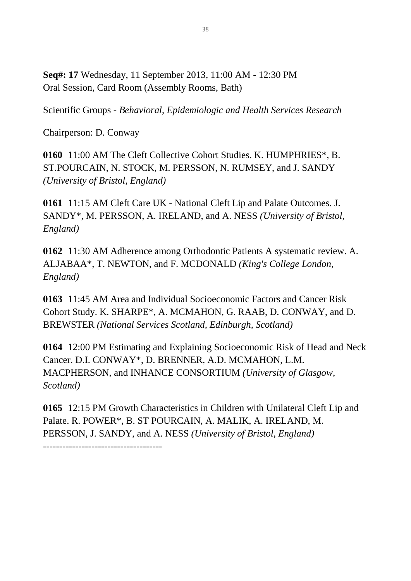**Seq#: 17** Wednesday, 11 September 2013, 11:00 AM - 12:30 PM Oral Session, Card Room (Assembly Rooms, Bath)

Scientific Groups - *Behavioral, Epidemiologic and Health Services Research*

Chairperson: D. Conway

-------------------------------------

**0160** 11:00 AM The Cleft Collective Cohort Studies. K. HUMPHRIES\*, B. ST.POURCAIN, N. STOCK, M. PERSSON, N. RUMSEY, and J. SANDY *(University of Bristol, England)*

**0161** 11:15 AM Cleft Care UK - National Cleft Lip and Palate Outcomes. J. SANDY\*, M. PERSSON, A. IRELAND, and A. NESS *(University of Bristol, England)*

**0162** 11:30 AM Adherence among Orthodontic Patients A systematic review. A. ALJABAA\*, T. NEWTON, and F. MCDONALD *(King's College London, England)*

**0163** 11:45 AM Area and Individual Socioeconomic Factors and Cancer Risk Cohort Study. K. SHARPE\*, A. MCMAHON, G. RAAB, D. CONWAY, and D. BREWSTER *(National Services Scotland, Edinburgh, Scotland)*

**0164** 12:00 PM Estimating and Explaining Socioeconomic Risk of Head and Neck Cancer. D.I. CONWAY\*, D. BRENNER, A.D. MCMAHON, L.M. MACPHERSON, and INHANCE CONSORTIUM *(University of Glasgow, Scotland)*

**0165** 12:15 PM Growth Characteristics in Children with Unilateral Cleft Lip and Palate. R. POWER\*, B. ST POURCAIN, A. MALIK, A. IRELAND, M. PERSSON, J. SANDY, and A. NESS *(University of Bristol, England)*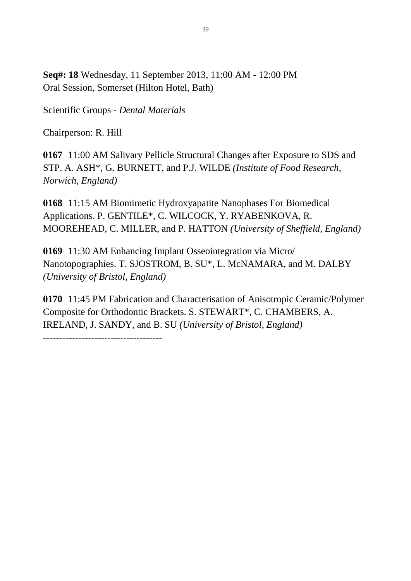**Seq#: 18** Wednesday, 11 September 2013, 11:00 AM - 12:00 PM Oral Session, Somerset (Hilton Hotel, Bath)

Scientific Groups - *Dental Materials*

Chairperson: R. Hill

**0167** 11:00 AM Salivary Pellicle Structural Changes after Exposure to SDS and STP. A. ASH\*, G. BURNETT, and P.J. WILDE *(Institute of Food Research, Norwich, England)*

**0168** 11:15 AM Biomimetic Hydroxyapatite Nanophases For Biomedical Applications. P. GENTILE\*, C. WILCOCK, Y. RYABENKOVA, R. MOOREHEAD, C. MILLER, and P. HATTON *(University of Sheffield, England)*

**0169** 11:30 AM Enhancing Implant Osseointegration via Micro/ Nanotopographies. T. SJOSTROM, B. SU\*, L. McNAMARA, and M. DALBY *(University of Bristol, England)*

**0170** 11:45 PM Fabrication and Characterisation of Anisotropic Ceramic/Polymer Composite for Orthodontic Brackets. S. STEWART\*, C. CHAMBERS, A. IRELAND, J. SANDY, and B. SU *(University of Bristol, England)*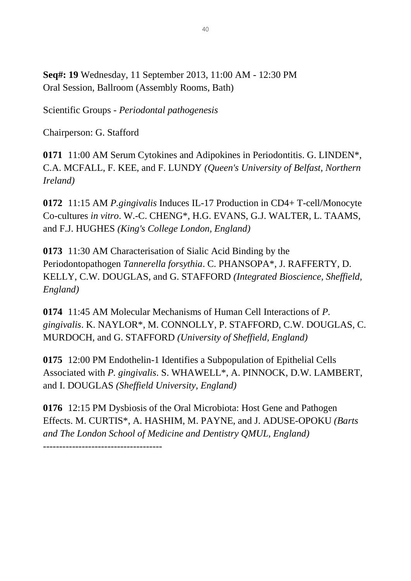**Seq#: 19** Wednesday, 11 September 2013, 11:00 AM - 12:30 PM Oral Session, Ballroom (Assembly Rooms, Bath)

Scientific Groups - *Periodontal pathogenesis*

Chairperson: G. Stafford

-------------------------------------

**0171** 11:00 AM Serum Cytokines and Adipokines in Periodontitis. G. LINDEN\*, C.A. MCFALL, F. KEE, and F. LUNDY *(Queen's University of Belfast, Northern Ireland)*

**0172** 11:15 AM *P.gingivalis* Induces IL-17 Production in CD4+ T-cell/Monocyte Co-cultures *in vitro*. W.-C. CHENG\*, H.G. EVANS, G.J. WALTER, L. TAAMS, and F.J. HUGHES *(King's College London, England)*

**0173** 11:30 AM Characterisation of Sialic Acid Binding by the Periodontopathogen *Tannerella forsythia*. C. PHANSOPA\*, J. RAFFERTY, D. KELLY, C.W. DOUGLAS, and G. STAFFORD *(Integrated Bioscience, Sheffield, England)*

**0174** 11:45 AM Molecular Mechanisms of Human Cell Interactions of *P. gingivalis*. K. NAYLOR\*, M. CONNOLLY, P. STAFFORD, C.W. DOUGLAS, C. MURDOCH, and G. STAFFORD *(University of Sheffield, England)*

**0175** 12:00 PM Endothelin-1 Identifies a Subpopulation of Epithelial Cells Associated with *P. gingivalis*. S. WHAWELL\*, A. PINNOCK, D.W. LAMBERT, and I. DOUGLAS *(Sheffield University, England)*

**0176** 12:15 PM Dysbiosis of the Oral Microbiota: Host Gene and Pathogen Effects. M. CURTIS\*, A. HASHIM, M. PAYNE, and J. ADUSE-OPOKU *(Barts and The London School of Medicine and Dentistry QMUL, England)*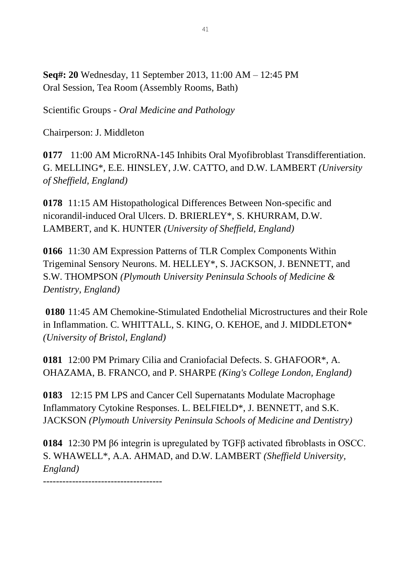**Seq#: 20** Wednesday, 11 September 2013, 11:00 AM – 12:45 PM Oral Session, Tea Room (Assembly Rooms, Bath)

Scientific Groups - *Oral Medicine and Pathology*

Chairperson: J. Middleton

**0177** 11:00 AM MicroRNA-145 Inhibits Oral Myofibroblast Transdifferentiation. G. MELLING\*, E.E. HINSLEY, J.W. CATTO, and D.W. LAMBERT *(University of Sheffield, England)*

**0178** 11:15 AM Histopathological Differences Between Non-specific and nicorandil-induced Oral Ulcers. D. BRIERLEY\*, S. KHURRAM, D.W. LAMBERT, and K. HUNTER *(University of Sheffield, England)*

**0166** 11:30 AM Expression Patterns of TLR Complex Components Within Trigeminal Sensory Neurons. M. HELLEY\*, S. JACKSON, J. BENNETT, and S.W. THOMPSON *(Plymouth University Peninsula Schools of Medicine & Dentistry, England)*

**0180** 11:45 AM Chemokine-Stimulated Endothelial Microstructures and their Role in Inflammation. C. WHITTALL, S. KING, O. KEHOE, and J. MIDDLETON\* *(University of Bristol, England)*

**0181** 12:00 PM Primary Cilia and Craniofacial Defects. S. GHAFOOR\*, A. OHAZAMA, B. FRANCO, and P. SHARPE *(King's College London, England)*

**0183** 12:15 PM LPS and Cancer Cell Supernatants Modulate Macrophage Inflammatory Cytokine Responses. L. BELFIELD\*, J. BENNETT, and S.K. JACKSON *(Plymouth University Peninsula Schools of Medicine and Dentistry)*

**0184** 12:30 PM β6 integrin is upregulated by TGFβ activated fibroblasts in OSCC. S. WHAWELL\*, A.A. AHMAD, and D.W. LAMBERT *(Sheffield University, England)*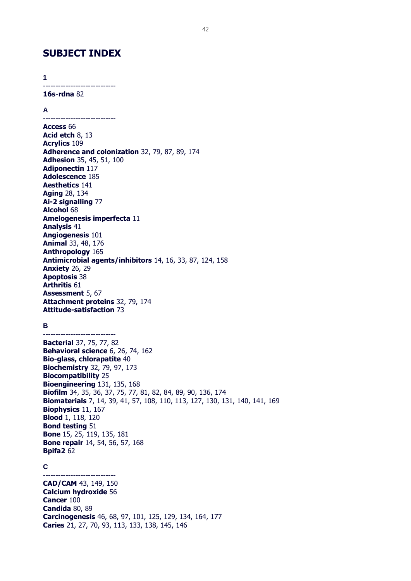### **SUBJECT INDEX**

**1**

-----------------------------

**16s-rdna** 82

**A**

----------------------------- **Access** 66 **Acid etch** 8, 13 **Acrylics** 109 **Adherence and colonization** 32, 79, 87, 89, 174 **Adhesion** 35, 45, 51, 100 **Adiponectin** 117 **Adolescence** 185 **Aesthetics** 141 **Aging** 28, 134 **Ai-2 signalling** 77 **Alcohol** 68 **Amelogenesis imperfecta** 11 **Analysis** 41 **Angiogenesis** 101 **Animal** 33, 48, 176 **Anthropology** 165 **Antimicrobial agents/inhibitors** 14, 16, 33, 87, 124, 158 **Anxiety** 26, 29 **Apoptosis** 38 **Arthritis** 61 **Assessment** 5, 67 **Attachment proteins** 32, 79, 174 **Attitude-satisfaction** 73

#### **B**

-----------------------------

**Bacterial** 37, 75, 77, 82 **Behavioral science** 6, 26, 74, 162 **Bio-glass, chlorapatite** 40 **Biochemistry** 32, 79, 97, 173 **Biocompatibility** 25 **Bioengineering** 131, 135, 168 **Biofilm** 34, 35, 36, 37, 75, 77, 81, 82, 84, 89, 90, 136, 174 **Biomaterials** 7, 14, 39, 41, 57, 108, 110, 113, 127, 130, 131, 140, 141, 169 **Biophysics** 11, 167 **Blood** 1, 118, 120 **Bond testing** 51 **Bone** 15, 25, 119, 135, 181 **Bone repair** 14, 54, 56, 57, 168 **Bpifa2** 62

#### **C**

----------------------------- **CAD/CAM** 43, 149, 150 **Calcium hydroxide** 56 **Cancer** 100 **Candida** 80, 89 **Carcinogenesis** 46, 68, 97, 101, 125, 129, 134, 164, 177 **Caries** 21, 27, 70, 93, 113, 133, 138, 145, 146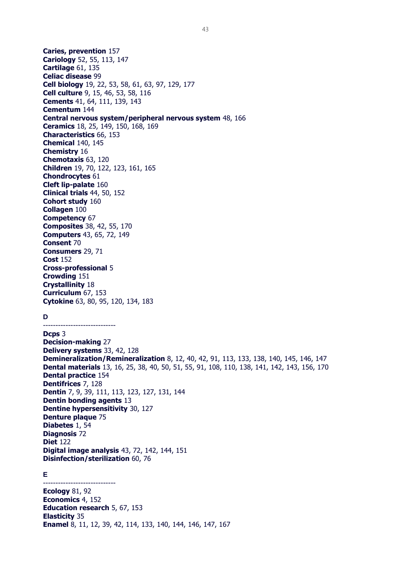**Caries, prevention** 157 **Cariology** 52, 55, 113, 147 **Cartilage** 61, 135 **Celiac disease** 99 **Cell biology** 19, 22, 53, 58, 61, 63, 97, 129, 177 **Cell culture** 9, 15, 46, 53, 58, 116 **Cements** 41, 64, 111, 139, 143 **Cementum** 144 **Central nervous system/peripheral nervous system** 48, 166 **Ceramics** 18, 25, 149, 150, 168, 169 **Characteristics** 66, 153 **Chemical** 140, 145 **Chemistry** 16 **Chemotaxis** 63, 120 **Children** 19, 70, 122, 123, 161, 165 **Chondrocytes** 61 **Cleft lip-palate** 160 **Clinical trials** 44, 50, 152 **Cohort study** 160 **Collagen** 100 **Competency** 67 **Composites** 38, 42, 55, 170 **Computers** 43, 65, 72, 149 **Consent** 70 **Consumers** 29, 71 **Cost** 152 **Cross-professional** 5 **Crowding** 151 **Crystallinity** 18 **Curriculum** 67, 153 **Cytokine** 63, 80, 95, 120, 134, 183 **D** ----------------------------- **Dcps** 3 **Decision-making** 27 **Delivery systems** 33, 42, 128 **Demineralization/Remineralization** 8, 12, 40, 42, 91, 113, 133, 138, 140, 145, 146, 147 **Dental materials** 13, 16, 25, 38, 40, 50, 51, 55, 91, 108, 110, 138, 141, 142, 143, 156, 170 **Dental practice** 154 **Dentifrices** 7, 128 **Dentin** 7, 9, 39, 111, 113, 123, 127, 131, 144 **Dentin bonding agents** 13 **Dentine hypersensitivity** 30, 127 **Denture plaque** 75 **Diabetes** 1, 54 **Diagnosis** 72 **Diet** 122 **Digital image analysis** 43, 72, 142, 144, 151 **Disinfection/sterilization** 60, 76 **E** ----------------------------- **Ecology** 81, 92 **Economics** 4, 152 **Education research** 5, 67, 153 **Elasticity** 35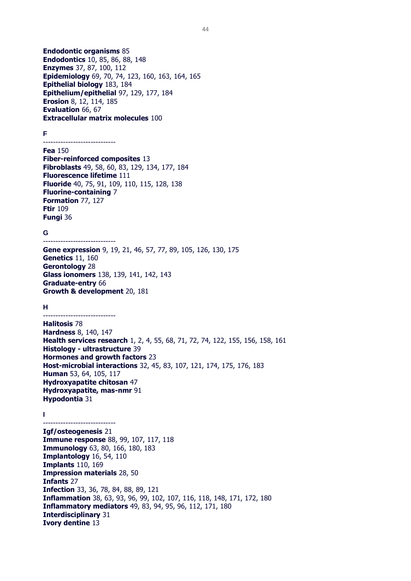**Endodontic organisms** 85 **Endodontics** 10, 85, 86, 88, 148 **Enzymes** 37, 87, 100, 112 **Epidemiology** 69, 70, 74, 123, 160, 163, 164, 165 **Epithelial biology** 183, 184 **Epithelium/epithelial** 97, 129, 177, 184 **Erosion** 8, 12, 114, 185 **Evaluation** 66, 67 **Extracellular matrix molecules** 100

#### **F**

#### ----------------------------- **Fea** 150

**Fiber-reinforced composites** 13 **Fibroblasts** 49, 58, 60, 83, 129, 134, 177, 184 **Fluorescence lifetime** 111 **Fluoride** 40, 75, 91, 109, 110, 115, 128, 138 **Fluorine-containing** 7 **Formation** 77, 127 **Ftir** 109 **Fungi** 36

#### **G**

----------------------------- **Gene expression** 9, 19, 21, 46, 57, 77, 89, 105, 126, 130, 175 **Genetics** 11, 160 **Gerontology** 28 **Glass ionomers** 138, 139, 141, 142, 143 **Graduate-entry** 66 **Growth & development** 20, 181

#### **H**

-----------------------------

-----------------------------

**Halitosis** 78 **Hardness** 8, 140, 147 **Health services research** 1, 2, 4, 55, 68, 71, 72, 74, 122, 155, 156, 158, 161 **Histology - ultrastructure** 39 **Hormones and growth factors** 23 **Host-microbial interactions** 32, 45, 83, 107, 121, 174, 175, 176, 183 **Human** 53, 64, 105, 117 **Hydroxyapatite chitosan** 47 **Hydroxyapatite, mas-nmr** 91 **Hypodontia** 31

#### **I**

**Igf/osteogenesis** 21 **Immune response** 88, 99, 107, 117, 118 **Immunology** 63, 80, 166, 180, 183 **Implantology** 16, 54, 110 **Implants** 110, 169 **Impression materials** 28, 50 **Infants** 27 **Infection** 33, 36, 78, 84, 88, 89, 121 **Inflammation** 38, 63, 93, 96, 99, 102, 107, 116, 118, 148, 171, 172, 180 **Inflammatory mediators** 49, 83, 94, 95, 96, 112, 171, 180 **Interdisciplinary** 31 **Ivory dentine** 13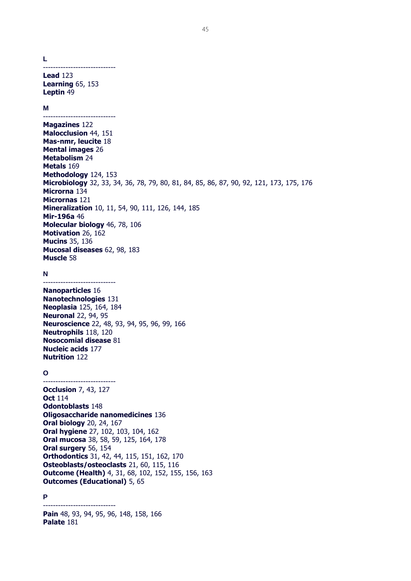**L**

-----------------------------

**Lead** 123 **Learning** 65, 153 **Leptin** 49

#### **M**

----------------------------- **Magazines** 122 **Malocclusion** 44, 151 **Mas-nmr, leucite** 18 **Mental images** 26 **Metabolism** 24 **Metals** 169 **Methodology** 124, 153 **Microbiology** 32, 33, 34, 36, 78, 79, 80, 81, 84, 85, 86, 87, 90, 92, 121, 173, 175, 176 **Microrna** 134 **Micrornas** 121 **Mineralization** 10, 11, 54, 90, 111, 126, 144, 185 **Mir-196a** 46 **Molecular biology** 46, 78, 106 **Motivation** 26, 162 **Mucins** 35, 136 **Mucosal diseases** 62, 98, 183 **Muscle** 58

#### **N**

-----------------------------

-----------------------------

**Nanoparticles** 16 **Nanotechnologies** 131 **Neoplasia** 125, 164, 184 **Neuronal** 22, 94, 95 **Neuroscience** 22, 48, 93, 94, 95, 96, 99, 166 **Neutrophils** 118, 120 **Nosocomial disease** 81 **Nucleic acids** 177 **Nutrition** 122

#### **O**

**Occlusion** 7, 43, 127 **Oct** 114 **Odontoblasts** 148 **Oligosaccharide nanomedicines** 136 **Oral biology** 20, 24, 167 **Oral hygiene** 27, 102, 103, 104, 162 **Oral mucosa** 38, 58, 59, 125, 164, 178 **Oral surgery** 56, 154 **Orthodontics** 31, 42, 44, 115, 151, 162, 170 **Osteoblasts/osteoclasts** 21, 60, 115, 116 **Outcome (Health)** 4, 31, 68, 102, 152, 155, 156, 163 **Outcomes (Educational)** 5, 65

#### **P**

**Pain** 48, 93, 94, 95, 96, 148, 158, 166 **Palate** 181

-----------------------------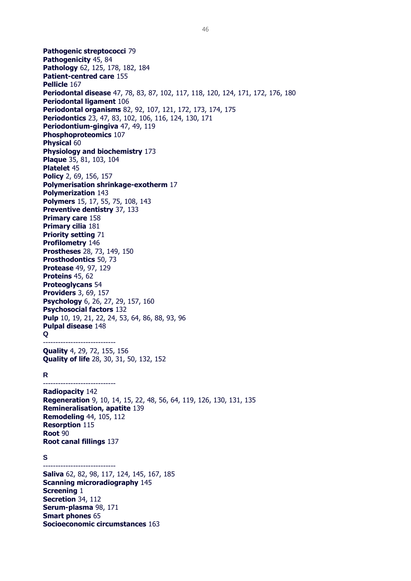**Pathogenic streptococci** 79 **Pathogenicity** 45, 84 **Pathology** 62, 125, 178, 182, 184 **Patient-centred care** 155 **Pellicle** 167 **Periodontal disease** 47, 78, 83, 87, 102, 117, 118, 120, 124, 171, 172, 176, 180 **Periodontal ligament** 106 **Periodontal organisms** 82, 92, 107, 121, 172, 173, 174, 175 **Periodontics** 23, 47, 83, 102, 106, 116, 124, 130, 171 **Periodontium-gingiva** 47, 49, 119 **Phosphoproteomics** 107 **Physical** 60 **Physiology and biochemistry** 173 **Plaque** 35, 81, 103, 104 **Platelet** 45 **Policy** 2, 69, 156, 157 **Polymerisation shrinkage-exotherm** 17 **Polymerization** 143 **Polymers** 15, 17, 55, 75, 108, 143 **Preventive dentistry** 37, 133 **Primary care** 158 **Primary cilia** 181 **Priority setting** 71 **Profilometry** 146 **Prostheses** 28, 73, 149, 150 **Prosthodontics** 50, 73 **Protease** 49, 97, 129 **Proteins** 45, 62 **Proteoglycans** 54 **Providers** 3, 69, 157 **Psychology** 6, 26, 27, 29, 157, 160 **Psychosocial factors** 132 **Pulp** 10, 19, 21, 22, 24, 53, 64, 86, 88, 93, 96 **Pulpal disease** 148 **Q** ----------------------------- **Quality** 4, 29, 72, 155, 156 **Quality of life** 28, 30, 31, 50, 132, 152 **R** ----------------------------- **Radiopacity** 142 **Regeneration** 9, 10, 14, 15, 22, 48, 56, 64, 119, 126, 130, 131, 135 **Remineralisation, apatite** 139 **Remodeling** 44, 105, 112 **Resorption** 115 **Root** 90 **Root canal fillings** 137 **S** ----------------------------- **Saliva** 62, 82, 98, 117, 124, 145, 167, 185 **Scanning microradiography** 145 **Screening** 1 **Secretion** 34, 112 **Serum-plasma** 98, 171 **Smart phones** 65

**Socioeconomic circumstances** 163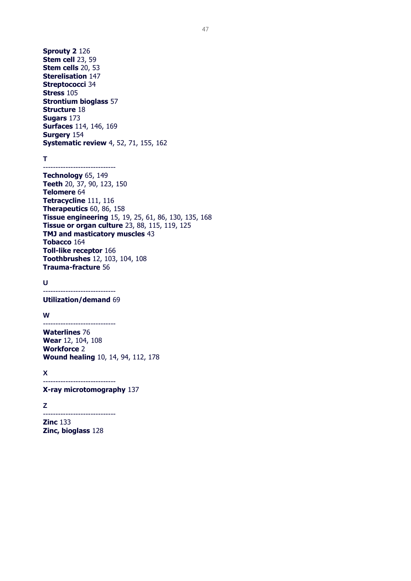**Sprouty 2** 126 **Stem cell** 23, 59 **Stem cells** 20, 53 **Sterelisation** 147 **Streptococci** 34 **Stress** 105 **Strontium bioglass** 57 **Structure** 18 **Sugars** 173 **Surfaces** 114, 146, 169 **Surgery** 154 **Systematic review** 4, 52, 71, 155, 162

-----------------------------

**T**

**Technology** 65, 149 **Teeth** 20, 37, 90, 123, 150 **Telomere** 64 **Tetracycline** 111, 116 **Therapeutics** 60, 86, 158 **Tissue engineering** 15, 19, 25, 61, 86, 130, 135, 168 **Tissue or organ culture** 23, 88, 115, 119, 125 **TMJ and masticatory muscles** 43 **Tobacco** 164 **Toll-like receptor** 166 **Toothbrushes** 12, 103, 104, 108 **Trauma-fracture** 56

**U**

----------------------------- **Utilization/demand** 69

**W**

----------------------------- **Waterlines** 76 **Wear** 12, 104, 108 **Workforce** 2 **Wound healing** 10, 14, 94, 112, 178

**X**

-----------------------------

**X-ray microtomography** 137

-----------------------------

**Z**

**Zinc** 133 **Zinc, bioglass** 128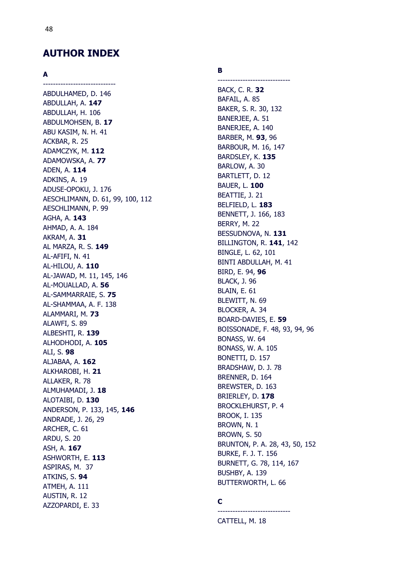### **AUTHOR INDEX**

-----------------------------

#### **A**

ABDULHAMED, D. 146 ABDULLAH, A. **147** ABDULLAH, H. 106 ABDULMOHSEN, B. **17** ABU KASIM, N. H. 41 ACKBAR, R. 25 ADAMCZYK, M. **112** ADAMOWSKA, A. **77** ADEN, A. **114** ADKINS, A. 19 ADUSE -OPOKU, J. 176 AESCHLIMANN, D. 61, 99, 100, 112 AESCHLIMANN, P. 99 AGHA, A. **143** AHMAD, A. A. 184 AKRAM, A. **31** AL MARZA, R. S. **149** AL -AFIFI, N. 41 AL -HILOU, A. **110** AL -JAWAD, M. 11, 145, 146 AL -MOUALLAD, A. **56** AL -SAMMARRAIE, S. **7 5** AL -SHAMMAA, A. F. 138 ALAMMARI, M. **73** ALAWFI, S. 89 ALBESHTI, R. **139** ALHODHODI, A. **105** ALI, S. **98** ALJABAA, A. **162** ALKHAROBI, H. **21** ALLAKER, R. 78 ALMUHAMADI, J. **18** ALOTAIBI, D. **130** ANDERSON, P. 133, 145, **146** ANDRADE, J. 26, 29 ARCHER, C. 61 ARDU, S. 20 ASH, A. **167** ASHWORTH, E. **113** ASPIRAS, M. 37 ATKINS, S. **94** ATMEH, A. 111 AUSTIN, R. 12 AZZOPARDI, E. 33

#### **B**

----------------------------- BACK, C. R. **32** BAFAIL, A. 85 BAKER, S. R. 30, 132 BANERJEE, A. 51 BANERJEE, A. 140 BARBER, M. **93**, 96 BARBOUR, M. 16, 147 BARDSLEY, K. **135** BARLOW, A. 30 BARTLETT, D. 12 BAUER, L. **100** BEATTIE, J. 21 BELFIELD, L. **183** BENNETT, J. 166, 183 BERRY, M. 22 BESSUDNOVA, N. **131** BILLINGTON, R. **141**, 142 BINGLE, L. 62, 101 BINTI ABDULLAH, M. 41 BIRD, E. 94, **96** BLACK, J. 96 BLAIN, E. 61 BLEWITT, N. 69 BLOCKER, A. 34 BOARD -DAVIES, E. **59** BOISSONADE, F. 48, 93, 94, 96 BONASS, W. 64 BONASS, W. A. 105 BONETTI, D. 157 BRADSHAW, D. J. 78 BRENNER, D. 164 BREWSTER, D. 163 BRIERLEY, D. **178** BROCKLEHURST, P. 4 BROOK, I. 135 BROWN, N. 1 BROWN, S. 50 BRUNTON, P. A. 28, 43, 50, 152 BURKE, F. J. T. 156 BURNETT, G. 78, 114, 167 BUSHBY, A. 139 BUTTERWORTH, L. 66

### **C**

----------------------------- CATTELL, M. 18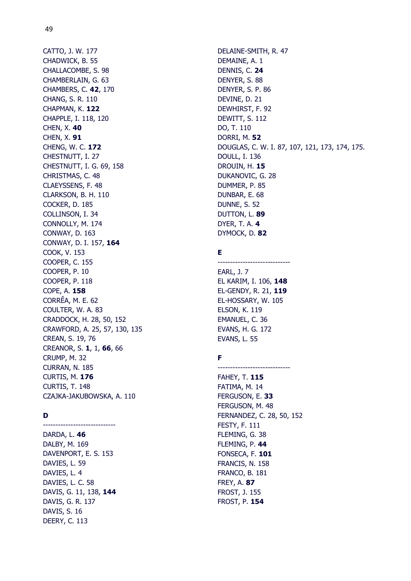CATTO, J. W. 177 CHADWICK, B. 55 CHALLACOMBE, S. 98 CHAMBERLAIN, G. 63 CHAMBERS, C. **42**, 170 CHANG, S. R. 110 CHAPMAN, K. **122** CHAPPLE, I. 118, 120 CHEN, X. **40** CHEN, X. **91** CHENG, W. C. **172** CHESTNUTT, I. 27 CHESTNUTT, I. G. 69, 158 CHRISTMAS, C. 48 CLAEYSSENS, F. 48 CLARKSON, B. H. 110 COCKER, D. 185 COLLINSON, I. 34 CONNOLLY, M. 174 CONWAY, D. 163 CONWAY, D. I. 157, **164** COOK, V. 153 COOPER, C. 155 COOPER, P. 10 COOPER, P. 118 COPE, A. **158** CORRÊA, M. E. 62 COULTER, W. A. 83 CRADDOCK, H. 28, 50, 152 CRAWFORD, A. 25, 57, 130, 135 CREAN, S. 19, 76 CREANOR, S. **1**, 1, **66**, 66 CRUMP, M. 32 CURRAN, N. 185 CURTIS, M. **176** CURTIS, T. 148 CZAJKA-JAKUBOWSKA, A. 110

#### **D** -----------------------------

DARDA, L. **46** DALBY, M. 169 DAVENPORT, E. S. 153 DAVIES, L. 59 DAVIES, L. 4 DAVIES, L. C. 58 DAVIS, G. 11, 138, **144** DAVIS, G. R. 137 DAVIS, S. 16 DEERY, C. 113

DELAINE-SMITH, R. 47 DEMAINE, A. 1 DENNIS, C. **24** DENYER, S. 88 DENYER, S. P. 86 DEVINE, D. 21 DEWHIRST, F. 92 DEWITT, S. 112 DO, T. 110 DORRI, M. **52** DOUGLAS, C. W. I. 87, 107, 121, 173, 174, 175. DOULL, I. 136 DROUIN, H. **15** DUKANOVIC, G. 28 DUMMER, P. 85 DUNBAR, E. 68 DUNNE, S. 52 DUTTON, L. **89** DYER, T. A. **4** DYMOCK, D. **82**

#### **E**

----------------------------- EARL, J. 7 EL KARIM, I. 106, **148** EL-GENDY, R. 21, **119** EL-HOSSARY, W. 105 ELSON, K. 119 EMANUEL, C. 36 EVANS, H. G. 172 EVANS, L. 55

-----------------------------

### **F**

FAHEY, T. **115** FATIMA, M. 14 FERGUSON, E. **33** FERGUSON, M. 48 FERNANDEZ, C. 28, 50, 152 FESTY, F. 111 FLEMING, G. 38 FLEMING, P. **44** FONSECA, F. **101** FRANCIS, N. 158 FRANCO, B. 181 FREY, A. **87** FROST, J. 155 FROST, P. **154**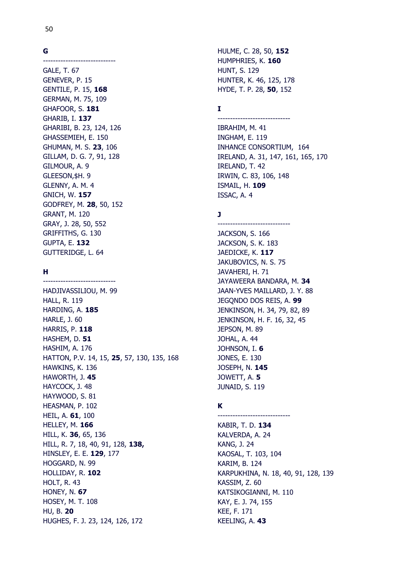#### **G**

----------------------------- GALE, T. 67 GENEVER, P. 15 GENTILE, P. 15, **168** GERMAN, M. 75, 109 GHAFOOR, S. **181** GHARIB, I. **137** GHARIBI, B. 23, 124, 126 GHASSEMIEH, E. 150 GHUMAN, M. S. **23**, 106 GILLAM, D. G. 7, 91, 128 GILMOUR, A. 9 GLEESON,\$H. 9 GLENNY, A. M. 4 GNICH, W. **157** GODFREY, M. **28**, 50, 152 GRANT, M. 120 GRAY, J. 28, 50, 552 GRIFFITHS, G. 130 GUPTA, E. **132** GUTTERIDGE, L. 64

-----------------------------

#### **H**

HADJIVASSILIOU, M. 99 HALL, R. 119 HARDING, A. **185** HARLE, J. 60 HARRIS, P. **118** HASHEM, D. **51** HASHIM, A. 176 HATTON, P.V. 14, 15, **25**, 57, 130, 135, 168 HAWKINS, K. 136 HAWORTH, J. **45** HAYCOCK, J. 48 HAYWOOD, S. 81 HEASMAN, P. 102 HEIL, A. **61**, 100 HELLEY, M. **166** HILL, K. **36**, 65, 136 HILL, R. 7, 18, 40, 91, 128, **138,** HINSLEY, E. E. **129**, 177 HOGGARD, N. 99 HOLLIDAY, R. **102** HOLT, R. 43 HONEY, N. **67** HOSEY, M. T. 108 HU, B. **20** HUGHES, F. J. 23, 124, 126, 172

HULME, C. 28, 50, **152** HUMPHRIES, K. **160** HUNT, S. 129 HUNTER, K. 46, 125, 178 HYDE, T. P. 28, **50**, 152

-----------------------------

#### **I**

IBRAHIM, M. 41 INGHAM, E. 119 INHANCE CONSORTIUM, 164 IRELAND, A. 31, 147, 161, 165, 170 IRELAND, T. 42 IRWIN, C. 83, 106, 148 ISMAIL, H. **109** ISSAC, A. 4

#### **J**

----------------------------- JACKSON, S. 166 JACKSON, S. K. 183 JAEDICKE, K. **117** JAKUBOVICS, N. S. 75 JAVAHERI, H. 71 JAYAWEERA BANDARA, M. **34** JAAN-YVES MAILLARD, J. Y. 88 JEGQNDO DOS REIS, A. **99** JENKINSON, H. 34, 79, 82, 89 JENKINSON, H. F. 16, 32, 45 JEPSON, M. 89 JOHAL, A. 44 JOHNSON, I. **6** JONES, E. 130 JOSEPH, N. **145** JOWETT, A. **5** JUNAID, S. 119

#### **K** -----------------------------

KABIR, T. D. **134** KALVERDA, A. 24 KANG, J. 24 KAOSAL, T. 103, 104 KARIM, B. 124 KARPUKHINA, N. 18, 40, 91, 128, 139 KASSIM, Z. 60 KATSIKOGIANNI, M. 110 KAY, E. J. 74, 155 KEE, F. 171 KEELING, A. **43**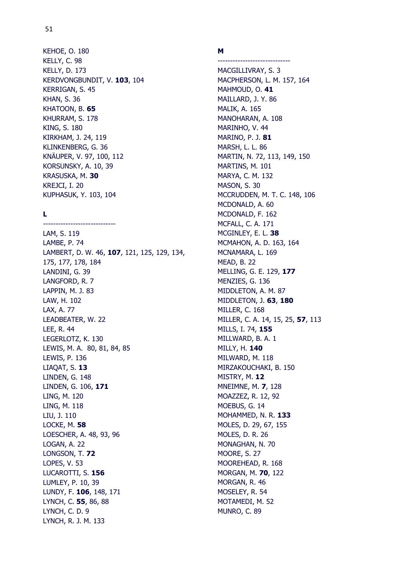# KEHOE, O. 180 KELLY, C. 98

51

KELLY, D. 173 KERDVONGBUNDIT, V. **103**, 104 KERRIGAN, S. 45 KHAN, S. 36 KHATOON, B. **65** KHURRAM, S. 178 KING, S. 180 KIRKHAM, J. 24, 119 KLINKENBERG, G. 36 KNÄUPER, V. 97, 100, 112 KORSUNSKY, A. 10, 39 KRASUSKA, M. **30** KREJCI, I. 20 KUPHASUK, Y. 103, 104

-----------------------------

### **L**

LAM, S. 119 LAMBE, P. 74 LAMBERT, D. W. 46, **107**, 121, 125, 129, 134, 175, 177, 178, 184 LANDINI, G. 39 LANGFORD, R. 7 LAPPIN, M. J. 83 LAW, H. 102 LAX, A. 77 LEADBEATER, W. 22 LEE, R. 44 LEGERLOTZ, K. 130 LEWIS, M. A. 80, 81, 84, 85 LEWIS, P. 136 LIAQAT, S. **13** LINDEN, G. 148 LINDEN, G. 106, **171** LING, M. 120 LING, M. 118 LIU, J. 110 LOCKE, M. **58** LOESCHER, A. 48, 93, 96 LOGAN, A. 22 LONGSON, T. **72** LOPES, V. 53 LUCAROTTI, S. **156** LUMLEY, P. 10, 39 LUNDY, F. **106**, 148, 171 LYNCH, C. **55**, 86, 88 LYNCH, C. D. 9 LYNCH, R. J. M. 133

#### **M**

----------------------------- MACGILLIVRAY, S. 3 MACPHERSON, L. M. 157, 164 MAHMOUD, O. **41** MAILLARD, J. Y. 86 MALIK, A. 165 MANOHARAN, A. 108 MARINHO, V. 44 MARINO, P. J. **81** MARSH, L. L. 86 MARTIN, N. 72, 113, 149, 150 MARTINS, M. 101 MARYA, C. M. 132 MASON, S. 30 MCCRUDDEN, M. T. C. 148, 106 MCDONALD, A. 60 MCDONALD, F. 162 MCFALL, C. A. 171 MCGINLEY, E. L. **38** MCMAHON, A. D. 163, 164 MCNAMARA, L. 169 MEAD, B. 22 MELLING, G. E. 129, **177** MENZIES, G. 136 MIDDLETON, A. M. 87 MIDDLETON, J. **63**, **180** MILLER, C. 168 MILLER, C. A. 14, 15, 25, **57**, 113 MILLS, I. 74, **155** MILLWARD, B. A. 1 MILLY, H. **140** MILWARD, M. 118 MIRZAKOUCHAKI, B. 150 MISTRY, M. **12** MNEIMNE, M. **7**, 128 MOAZZEZ, R. 12, 92 MOEBUS, G. 14 MOHAMMED, N. R. **133** MOLES, D. 29, 67, 155 MOLES, D. R. 26 MONAGHAN, N. 70 MOORE, S. 27 MOOREHEAD, R. 168 MORGAN, M. **70**, 122 MORGAN, R. 46 MOSELEY, R. 54 MOTAMEDI, M. 52 MUNRO, C. 89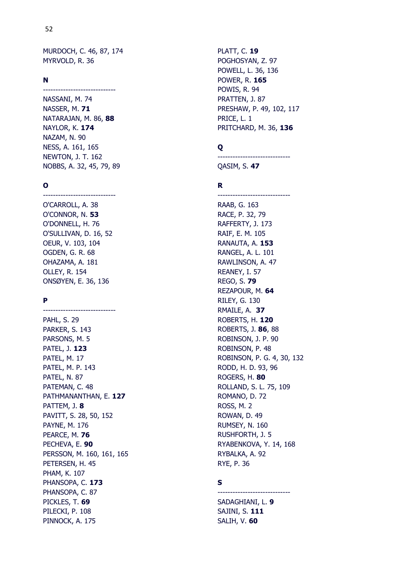MURDOCH, C. 46, 87, 174 MYRVOLD, R. 36

#### **N**

-----------------------------

NASSANI, M. 74 NASSER, M. **71** NATARAJAN, M. 86, **88** NAYLOR, K. **174** NAZAM, N. 90 NESS, A. 161, 165 NEWTON, J. T. 162 NOBBS, A. 32, 45, 79, 89

#### **O**

----------------------------- O'CARROLL, A. 38 O'CONNOR, N. **53** O'DONNELL, H. 76 O'SULLIVAN, D. 16, 52 OEUR, V. 103, 104 OGDEN, G. R. 68 OHAZAMA, A. 181 OLLEY, R. 154 ONSØYEN, E. 36, 136

-----------------------------

#### **P**

PAHL, S. 29 PARKER, S. 143 PARSONS, M. 5 PATEL, J. **123** PATEL, M. 17 PATEL, M. P. 143 PATEL, N. 87 PATEMAN, C. 48 PATHMANANTHAN, E. **127** PATTEM, J. **8** PAVITT, S. 28, 50, 152 PAYNE, M. 176 PEARCE, M. **76** PECHEVA, E. **90** PERSSON, M. 160, 161, 165 PETERSEN, H. 45 PHAM, K. 107 PHANSOPA, C. **173** PHANSOPA, C. 87 PICKLES, T. **69** PILECKI, P. 108 PINNOCK, A. 175

PLATT, C. **19** POGHOSYAN, Z. 97 POWELL, L. 36, 136 POWER, R. **165** POWIS, R. 94 PRATTEN, J. 87 PRESHAW, P. 49, 102, 117 PRICE, L. 1 PRITCHARD, M. 36, **136**

#### **Q**

QASIM, S. **47**

-----------------------------

-----------------------------

#### **R**

RAAB, G. 163 RACE, P. 32, 79 RAFFERTY, J. 173 RAIF, E. M. 105 RANAUTA, A. **153** RANGEL, A. L. 101 RAWLINSON, A. 47 REANEY, I. 57 REGO, S. **79** REZAPOUR, M. **64** RILEY, G. 130 RMAILE, A. **37** ROBERTS, H. **120** ROBERTS, J. **86**, 88 ROBINSON, J. P. 90 ROBINSON, P. 48 ROBINSON, P. G. 4, 30, 132 RODD, H. D. 93, 96 ROGERS, H. **80** ROLLAND, S. L. 75, 109 ROMANO, D. 72 ROSS, M. 2 ROWAN, D. 49 RUMSEY, N. 160 RUSHFORTH, J. 5 RYABENKOVA, Y. 14, 168 RYBALKA, A. 92 RYE, P. 36

#### **S**

-----------------------------

SADAGHIANI, L. **9** SAJINI, S. **111** SALIH, V. **60**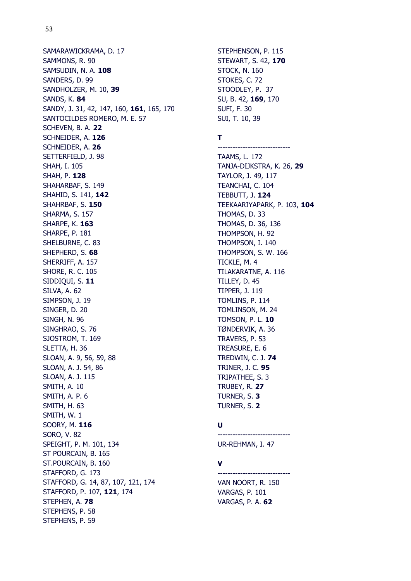SAMARAWICKRAMA, D. 17 SAMMONS, R. 90 SAMSUDIN, N. A. **108** SANDERS, D. 99 SANDHOLZER, M. 10, **39** SANDS, K. **84** SANDY, J. 31, 42, 147, 160, **161**, 165, 170 SANTOCILDES ROMERO, M. E. 57 SCHEVEN, B. A. **22** SCHNEIDER, A. **126** SCHNEIDER, A. **26** SETTERFIELD, J. 98 SHAH, I. 105 SHAH, P. **128** SHAHARBAF, S. 149 SHAHID, S. 141, **142** SHAHRBAF, S. **150** SHARMA, S. 157 SHARPE, K. **163** SHARPE, P. 181 SHELBURNE, C. 83 SHEPHERD, S. **68** SHERRIFF, A. 157 SHORE, R. C. 105 SIDDIQUI, S. **11** SILVA, A. 62 SIMPSON, J. 19 SINGER, D. 20 SINGH, N. 96 SINGHRAO, S. 76 SJOSTROM, T. 169 SLETTA, H. 36 SLOAN, A. 9, 56, 59, 88 SLOAN, A. J. 54, 86 SLOAN, A. J. 115 SMITH, A. 10 SMITH, A. P. 6 SMITH, H. 63 SMITH, W. 1 SOORY, M. **116** SORO, V. 82 SPEIGHT, P. M. 101, 134 ST POURCAIN, B. 165 ST.POURCAIN, B. 160 STAFFORD, G. 173 STAFFORD, G. 14, 87, 107, 121, 174 STAFFORD, P. 107, **121**, 174 STEPHEN, A. **78** STEPHENS, P. 58 STEPHENS, P. 59

```
STEPHENSON, P. 115
STEWART, S. 42, 170
STOCK, N. 160
STOKES, C. 72
STOODLEY, P. 37
SU, B. 42, 169, 170
SUFI, F. 30
SUI, T. 10, 39
```
#### **T**

----------------------------- TAAMS, L. 172 TANJA-DIJKSTRA, K. 26, **29** TAYLOR, J. 49, 117 TEANCHAI, C. 104 TEBBUTT, J. **124** TEEKAARIYAPARK, P. 103, **104** THOMAS, D. 33 THOMAS, D. 36, 136 THOMPSON, H. 92 THOMPSON, I. 140 THOMPSON, S. W. 166 TICKLE, M. 4 TILAKARATNE, A. 116 TILLEY, D. 45 TIPPER, J. 119 TOMLINS, P. 114 TOMLINSON, M. 24 TOMSON, P. L. **10** TØNDERVIK, A. 36 TRAVERS, P. 53 TREASURE, E. 6 TREDWIN, C. J. **74** TRINER, J. C. **95** TRIPATHEE, S. 3 TRUBEY, R. **27** TURNER, S. **3** TURNER, S. **2**

#### **U**

UR-REHMAN, I. 47

-----------------------------

#### **V**

----------------------------- VAN NOORT, R. 150 VARGAS, P. 101 VARGAS, P. A. **62**